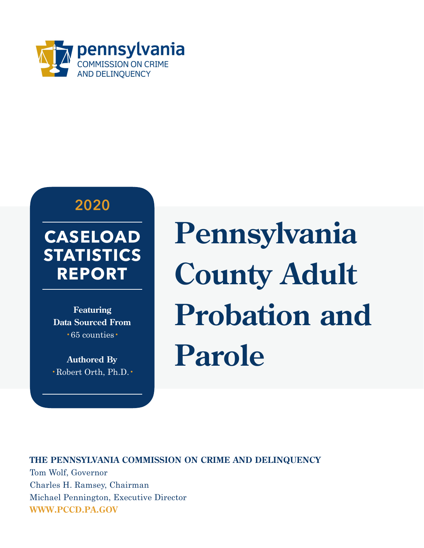

#### **2020**

#### **CASELOAD STATISTICS REPORT**

**Featuring Data Sourced From**  •65 counties•

**Authored By**  •Robert Orth, Ph.D.• **Pennsylvania County Adult Probation and Parole**

**THE PENNSYLVANIA COMMISSION ON CRIME AND DELINQUENCY**  Tom Wolf, Governor Charles H. Ramsey, Chairman Michael Pennington, Executive Director **WWW.PCCD.PA.GOV**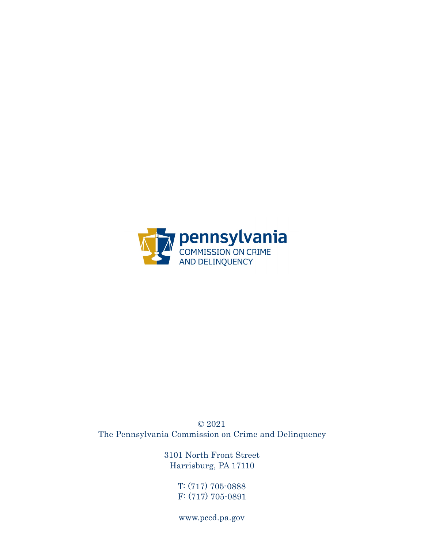

© 2021 The Pennsylvania Commission on Crime and Delinquency

> 3101 North Front Street Harrisburg, PA 17110

> > T: (717) 705-0888 F: (717) 705-0891

www.pccd.pa.gov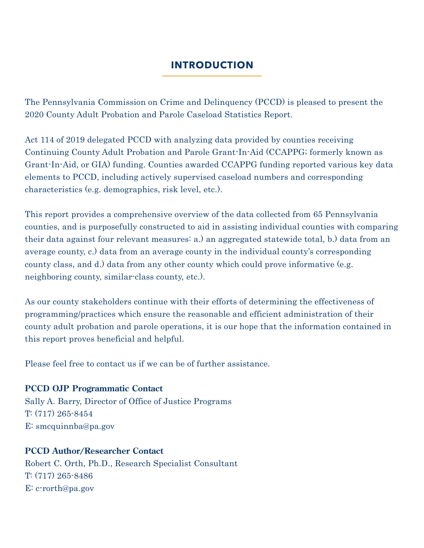#### **INTRODUCTION**

The Pennsylvania Commission on Crime and Delinquency (PCCD) is pleased to present the 2020 County Adult Probation and Parole Caseload Statistics Report.

Act 114 of 2019 delegated PCCD with analyzing data provided by counties receiving Continuing County Adult Probation and Parole Grant-In-Aid (CCAPPG; formerly known as Grant-In-Aid, or GIA) funding. Counties awarded CCAPPG funding reported various key data elements to PCCD, including actively supervised caseload numbers and corresponding characteristics (e.g. demographics, risk level, etc.).

This report provides a comprehensive overview of the data collected from 65 Pennsylvania counties, and is purposefully constructed to aid in assisting individual counties with comparing their data against four relevant measures: a.) an aggregated statewide total, b.) data from an average county, c.) data from an average county in the individual county's corresponding county class, and d.) data from any other county which could prove informative (e.g. neighboring county, similar-class county, etc.).

As our county stakeholders continue with their efforts of determining the effectiveness of programming/practices which ensure the reasonable and efficient administration of their county adult probation and parole operations, it is our hope that the information contained in this report proves beneficial and helpful.

Please feel free to contact us if we can be of further assistance.

#### **PCCD OJP Programmatic Contact**

Sally A. Barry, Director of Office of Justice Programs T: (717) 265-8454 E: smcquinnba@pa.gov

#### **PCCD Author/Researcher Contact**

Robert C. Orth, Ph.D., Research Specialist Consultant T: (717) 265-8486 E: c-rorth@pa.gov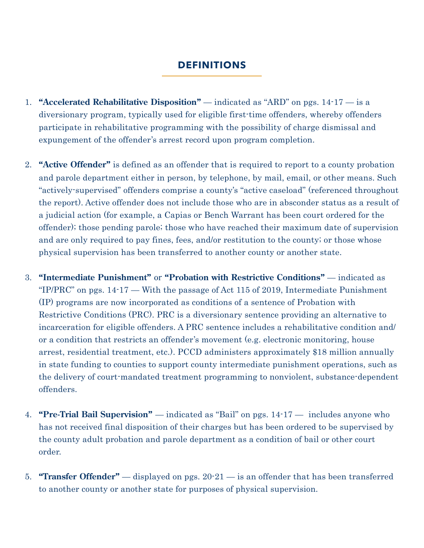#### **DEFINITIONS**

- 1. **"Accelerated Rehabilitative Disposition"** indicated as "ARD" on pgs. 14-17 is a diversionary program, typically used for eligible first-time offenders, whereby offenders participate in rehabilitative programming with the possibility of charge dismissal and expungement of the offender's arrest record upon program completion.
- 2. **"Active Offender"** is defined as an offender that is required to report to a county probation and parole department either in person, by telephone, by mail, email, or other means. Such "actively-supervised" offenders comprise a county's "active caseload" (referenced throughout the report). Active offender does not include those who are in absconder status as a result of a judicial action (for example, a Capias or Bench Warrant has been court ordered for the offender); those pending parole; those who have reached their maximum date of supervision and are only required to pay fines, fees, and/or restitution to the county; or those whose physical supervision has been transferred to another county or another state.
- 3. **"Intermediate Punishment"** or **"Probation with Restrictive Conditions"** indicated as "IP/PRC" on pgs. 14-17 — With the passage of Act 115 of 2019, Intermediate Punishment (IP) programs are now incorporated as conditions of a sentence of Probation with Restrictive Conditions (PRC). PRC is a diversionary sentence providing an alternative to incarceration for eligible offenders. A PRC sentence includes a rehabilitative condition and/ or a condition that restricts an offender's movement (e.g. electronic monitoring, house arrest, residential treatment, etc.). PCCD administers approximately \$18 million annually in state funding to counties to support county intermediate punishment operations, such as the delivery of court-mandated treatment programming to nonviolent, substance-dependent offenders.
- 4. **"Pre-Trial Bail Supervision"**  indicated as "Bail" on pgs. 14-17 includes anyone who has not received final disposition of their charges but has been ordered to be supervised by the county adult probation and parole department as a condition of bail or other court order.
- 5. **"Transfer Offender"** displayed on pgs. 20-21 is an offender that has been transferred to another county or another state for purposes of physical supervision.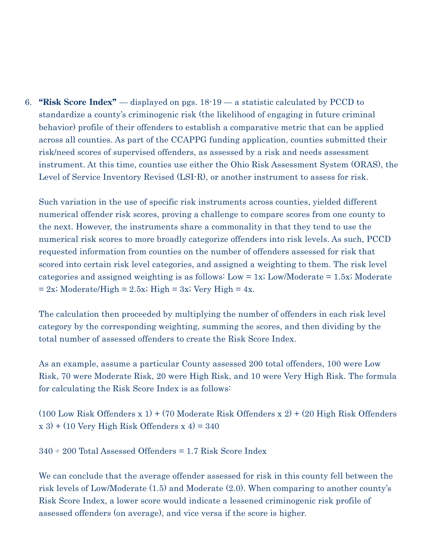6. **"Risk Score Index"** — displayed on pgs. 18-19 — a statistic calculated by PCCD to standardize a county's criminogenic risk (the likelihood of engaging in future criminal behavior) profile of their offenders to establish a comparative metric that can be applied across all counties. As part of the CCAPPG funding application, counties submitted their risk/need scores of supervised offenders, as assessed by a risk and needs assessment instrument. At this time, counties use either the Ohio Risk Assessment System (ORAS), the Level of Service Inventory Revised (LSI-R), or another instrument to assess for risk.

Such variation in the use of specific risk instruments across counties, yielded different numerical offender risk scores, proving a challenge to compare scores from one county to the next. However, the instruments share a commonality in that they tend to use the numerical risk scores to more broadly categorize offenders into risk levels. As such, PCCD requested information from counties on the number of offenders assessed for risk that scored into certain risk level categories, and assigned a weighting to them. The risk level categories and assigned weighting is as follows: Low  $= 1x$ ; Low/Moderate  $= 1.5x$ ; Moderate  $= 2x$ ; Moderate/High  $= 2.5x$ ; High  $= 3x$ ; Very High  $= 4x$ .

The calculation then proceeded by multiplying the number of offenders in each risk level category by the corresponding weighting, summing the scores, and then dividing by the total number of assessed offenders to create the Risk Score Index.

As an example, assume a particular County assessed 200 total offenders, 100 were Low Risk, 70 were Moderate Risk, 20 were High Risk, and 10 were Very High Risk. The formula for calculating the Risk Score Index is as follows:

(100 Low Risk Offenders x 1) + (70 Moderate Risk Offenders x 2) + (20 High Risk Offenders  $(x 3) + (10 \text{ Very High Risk Offenders } x 4) = 340$ 

 $340 \div 200$  Total Assessed Offenders = 1.7 Risk Score Index

We can conclude that the average offender assessed for risk in this county fell between the risk levels of Low/Moderate (1.5) and Moderate (2.0). When comparing to another county's Risk Score Index, a lower score would indicate a lessened criminogenic risk profile of assessed offenders (on average), and vice versa if the score is higher.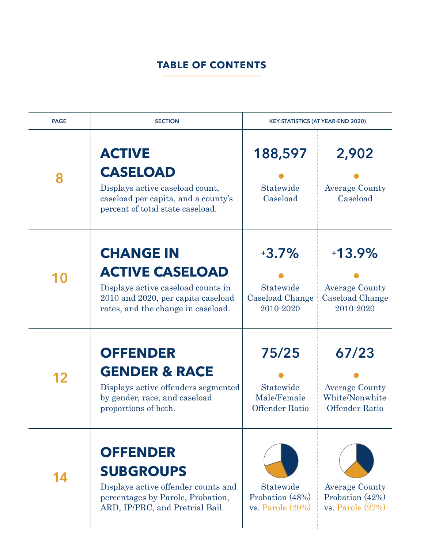#### **TABLE OF CONTENTS**

| <b>PAGE</b> | <b>SECTION</b>                                                                                                                                               |                                                            | <b>KEY STATISTICS (AT YEAR-END 2020)</b>                                  |
|-------------|--------------------------------------------------------------------------------------------------------------------------------------------------------------|------------------------------------------------------------|---------------------------------------------------------------------------|
| 8           | <b>ACTIVE</b><br><b>CASELOAD</b><br>Displays active caseload count,<br>caseload per capita, and a county's<br>percent of total state caseload.               | 188,597<br>Statewide<br>Caseload                           | 2,902<br><b>Average County</b><br>Caseload                                |
| <b>10</b>   | <b>CHANGE IN</b><br><b>ACTIVE CASELOAD</b><br>Displays active caseload counts in<br>2010 and 2020, per capita caseload<br>rates, and the change in caseload. | $+3.7\%$<br>Statewide<br>Caseload Change<br>2010-2020      | $+13.9%$<br><b>Average County</b><br><b>Caseload Change</b><br>2010-2020  |
| 12          | <b>OFFENDER</b><br><b>GENDER &amp; RACE</b><br>Displays active offenders segmented<br>by gender, race, and caseload<br>proportions of both.                  | 75/25<br>Statewide<br>Male/Female<br><b>Offender Ratio</b> | 67/23<br><b>Average County</b><br>White/Nonwhite<br><b>Offender Ratio</b> |
| 14          | <b>OFFENDER</b><br><b>SUBGROUPS</b><br>Displays active offender counts and<br>percentages by Parole, Probation,<br>ARD, IP/PRC, and Pretrial Bail.           | Statewide<br>Probation (48%)<br>vs. Parole $(29\%)$        | <b>Average County</b><br>Probation $(42\%)$<br>$vs.$ Parole $(27%)$       |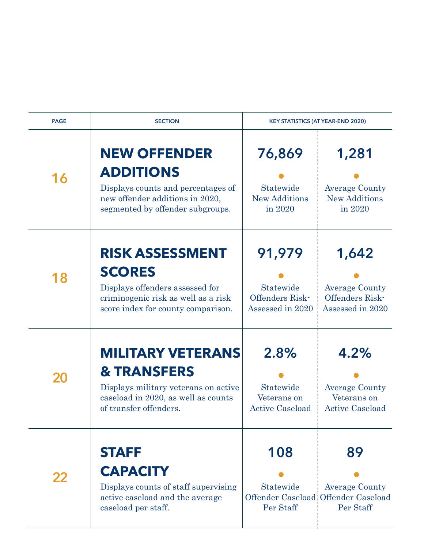| <b>PAGE</b> | <b>SECTION</b>                                                                                                                                              |                                                            | <b>KEY STATISTICS (AT YEAR-END 2020)</b>                                        |
|-------------|-------------------------------------------------------------------------------------------------------------------------------------------------------------|------------------------------------------------------------|---------------------------------------------------------------------------------|
| 16          | <b>NEW OFFENDER</b><br><b>ADDITIONS</b><br>Displays counts and percentages of<br>new offender additions in 2020,<br>segmented by offender subgroups.        | 76,869<br>Statewide<br><b>New Additions</b><br>in 2020     | 1,281<br><b>Average County</b><br><b>New Additions</b><br>in 2020               |
| 18          | <b>RISK ASSESSMENT</b><br><b>SCORES</b><br>Displays offenders assessed for<br>criminogenic risk as well as a risk<br>score index for county comparison.     | 91,979<br>Statewide<br>Offenders Risk-<br>Assessed in 2020 | 1,642<br><b>Average County</b><br>Offenders Risk-<br>Assessed in 2020           |
|             | <b>MILITARY VETERANS</b><br><b>&amp; TRANSFERS</b><br>Displays military veterans on active<br>caseload in 2020, as well as counts<br>of transfer offenders. | 2.8%<br>Statewide<br>Veterans on<br><b>Active Caseload</b> | 4.2%<br><b>Average County</b><br>Veterans on<br><b>Active Caseload</b>          |
|             | <b>STAFF</b><br><b>CAPACITY</b><br>Displays counts of staff supervising<br>active caseload and the average<br>caseload per staff.                           | 108<br>Statewide<br>Per Staff                              | 89<br><b>Average County</b><br>Offender Caseload Offender Caseload<br>Per Staff |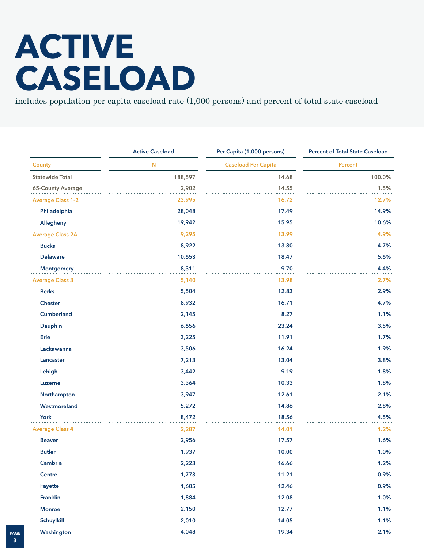## **ACTIVE CASELOAD**

includes population per capita caseload rate (1,000 persons) and percent of total state caseload

|                          | <b>Active Caseload</b> | Per Capita (1,000 persons) | <b>Percent of Total State Caseload</b> |  |
|--------------------------|------------------------|----------------------------|----------------------------------------|--|
| <b>County</b>            | N                      | <b>Caseload Per Capita</b> | <b>Percent</b>                         |  |
| <b>Statewide Total</b>   | 188,597                | 14.68                      | 100.0%                                 |  |
| 65-County Average        | 2,902                  | 14.55                      | 1.5%                                   |  |
| <b>Average Class 1-2</b> | 23,995                 | 16.72                      | 12.7%                                  |  |
| Philadelphia             | 28,048                 | 17.49                      | 14.9%                                  |  |
| Allegheny                | 19,942                 | 15.95                      | 10.6%                                  |  |
| <b>Average Class 2A</b>  | 9,295                  | 13.99                      | 4.9%                                   |  |
| <b>Bucks</b>             | 8,922                  | 13.80                      | 4.7%                                   |  |
| <b>Delaware</b>          | 10,653                 | 18.47                      | 5.6%                                   |  |
| <b>Montgomery</b>        | 8,311                  | 9.70                       | 4.4%                                   |  |
| <b>Average Class 3</b>   | 5,140                  | 13.98                      | 2.7%                                   |  |
| <b>Berks</b>             | 5,504                  | 12.83                      | 2.9%                                   |  |
| <b>Chester</b>           | 8,932                  | 16.71                      | 4.7%                                   |  |
| Cumberland               | 2,145                  | 8.27                       | 1.1%                                   |  |
| Dauphin                  | 6,656                  | 23.24                      | 3.5%                                   |  |
| Erie                     | 3,225                  | 11.91                      | 1.7%                                   |  |
| Lackawanna               | 3,506                  | 16.24                      | 1.9%                                   |  |
| Lancaster                | 7,213                  | 13.04                      | 3.8%                                   |  |
| Lehigh                   | 3,442                  | 9.19                       | 1.8%                                   |  |
| Luzerne                  | 3,364                  | 10.33                      | 1.8%                                   |  |
| Northampton              | 3,947                  | 12.61                      | 2.1%                                   |  |
| Westmoreland             | 5,272                  | 14.86                      | 2.8%                                   |  |
| York                     | 8,472                  | 18.56                      | 4.5%                                   |  |
| <b>Average Class 4</b>   | 2,287                  | 14.01                      | 1.2%                                   |  |
| <b>Beaver</b>            | 2,956                  | 17.57                      | 1.6%                                   |  |
| <b>Butler</b>            | 1,937                  | 10.00                      | 1.0%                                   |  |
| Cambria                  | 2,223                  | 16.66                      | 1.2%                                   |  |
| Centre                   | 1,773                  | 11.21                      | 0.9%                                   |  |
| Fayette                  | 1,605                  | 12.46                      | 0.9%                                   |  |
| Franklin                 | 1,884                  | 12.08                      | 1.0%                                   |  |
| <b>Monroe</b>            | 2,150                  | 12.77                      | 1.1%                                   |  |
| Schuylkill               | 2,010                  | 14.05                      | 1.1%                                   |  |
| Washington               | 4,048                  | 19.34                      | 2.1%                                   |  |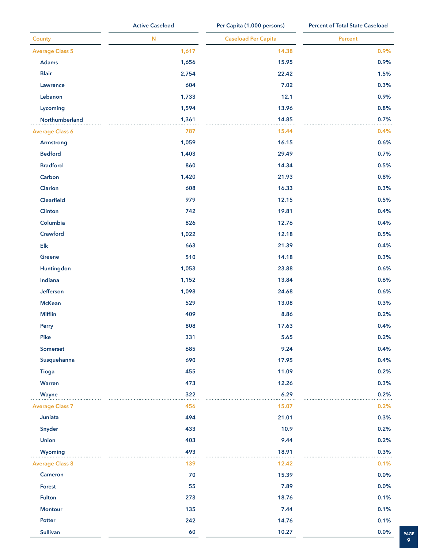|                        | <b>Active Caseload</b> | Per Capita (1,000 persons) | <b>Percent of Total State Caseload</b> |  |
|------------------------|------------------------|----------------------------|----------------------------------------|--|
| <b>County</b>          | ${\bf N}$              | <b>Caseload Per Capita</b> | Percent                                |  |
| <b>Average Class 5</b> | 1,617                  | 14.38                      | 0.9%                                   |  |
| Adams                  | 1,656                  | 15.95                      | 0.9%                                   |  |
| <b>Blair</b>           | 2,754                  | 22.42                      | 1.5%                                   |  |
| Lawrence               | 604                    | 7.02                       | 0.3%                                   |  |
| Lebanon                | 1,733                  | 12.1                       | 0.9%                                   |  |
| Lycoming               | 1,594                  | 13.96                      | 0.8%                                   |  |
| Northumberland         | 1,361                  | 14.85                      | 0.7%                                   |  |
| <b>Average Class 6</b> | 787                    | 15.44                      | 0.4%                                   |  |
| Armstrong              | 1,059                  | 16.15                      | 0.6%                                   |  |
| <b>Bedford</b>         | 1,403                  | 29.49                      | 0.7%                                   |  |
| <b>Bradford</b>        | 860                    | 14.34                      | 0.5%                                   |  |
| Carbon                 | 1,420                  | 21.93                      | 0.8%                                   |  |
| Clarion                | 608                    | 16.33                      | 0.3%                                   |  |
| Clearfield             | 979                    | 12.15                      | 0.5%                                   |  |
| Clinton                | 742                    | 19.81                      | 0.4%                                   |  |
| Columbia               | 826                    | 12.76                      | 0.4%                                   |  |
| Crawford               | 1,022                  | 12.18                      | 0.5%                                   |  |
| $\mathsf{Elk}$         | 663                    | 21.39                      | 0.4%                                   |  |
| Greene                 | 510                    | 14.18                      | 0.3%                                   |  |
| Huntingdon             | 1,053                  | 23.88                      | 0.6%                                   |  |
| Indiana                | 1,152                  | 13.84                      | 0.6%                                   |  |
| Jefferson              | 1,098                  | 24.68                      | 0.6%                                   |  |
| <b>McKean</b>          | 529                    | 13.08                      | 0.3%                                   |  |
| <b>Mifflin</b>         | 409                    | 8.86                       | 0.2%                                   |  |
| Perry                  | 808                    | 17.63                      | 0.4%                                   |  |
| Pike                   | 331                    | 5.65                       | 0.2%                                   |  |
| Somerset               | 685                    | 9.24                       | 0.4%                                   |  |
| Susquehanna            | 690                    | 17.95                      | 0.4%                                   |  |
| <b>Tioga</b>           | 455                    | 11.09                      | 0.2%                                   |  |
| Warren                 | 473                    | 12.26                      | 0.3%                                   |  |
| Wayne                  | 322                    | 6.29                       | 0.2%                                   |  |
| <b>Average Class 7</b> | 456                    | 15.07                      | 0.2%                                   |  |
| Juniata                | 494                    | 21.01                      | 0.3%                                   |  |
| Snyder                 | 433                    | 10.9                       | 0.2%                                   |  |
| <b>Union</b>           | 403                    | 9.44                       | 0.2%                                   |  |
| Wyoming                | 493                    | 18.91                      | 0.3%                                   |  |
| <b>Average Class 8</b> | 139                    | 12.42                      | .<br>0.1%                              |  |
| Cameron                | 70                     | 15.39                      | 0.0%                                   |  |
| Forest                 | 55                     | 7.89                       | 0.0%                                   |  |
| Fulton                 | 273                    | 18.76                      | 0.1%                                   |  |
| <b>Montour</b>         | 135                    | 7.44                       | 0.1%                                   |  |
| Potter                 | 242                    | 14.76                      | 0.1%                                   |  |
| Sullivan               | 60                     | 10.27                      | 0.0%                                   |  |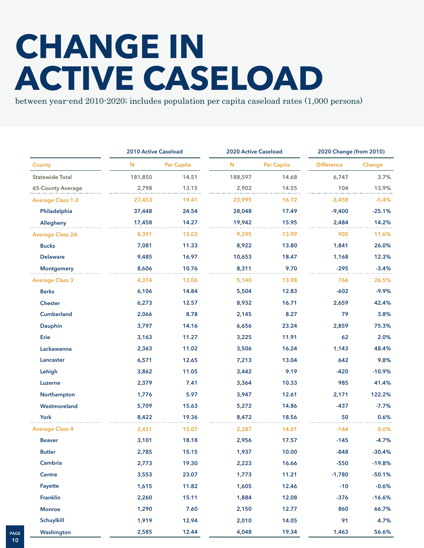## **CHANGE IN ACTIVE CASELOAD**

between year-end 2010-2020; includes population per capita caseload rates (1,000 persons)

|                          | 2010 Active Caseload |            | 2020 Active Caseload |            | 2020 Change (from 2010) |          |
|--------------------------|----------------------|------------|----------------------|------------|-------------------------|----------|
| County                   | N                    | Per Capita | Ν                    | Per Capita | <b>Difference</b>       | Change   |
| <b>Statewide Total</b>   | 181,850              | 14.51      | 188,597              | 14.68      | 6,747                   | 3.7%     |
| 65-County Average        | 2,798                | 13.15      | 2,902                | 14.55      | 104                     | 13.9%    |
| <b>Average Class 1-2</b> | 27,453               | 19.41      | 23,995               | 16.72      | $-3,458$                | $-5.4%$  |
| Philadelphia             | 37,448               | 24.54      | 28,048               | 17.49      | $-9,400$                | $-25.1%$ |
| Allegheny                | 17,458               | 14.27      | 19,942               | 15.95      | 2,484                   | 14.2%    |
| <b>Average Class 2A</b>  | 8,391                | 13.02      | 9,295                | 13.99      | 905                     | 11.6%    |
| <b>Bucks</b>             | 7,081                | 11.33      | 8,922                | 13.80      | 1,841                   | 26.0%    |
| <b>Delaware</b>          | 9,485                | 16.97      | 10,653               | 18.47      | 1,168                   | 12.3%    |
| <b>Montgomery</b>        | 8,606                | 10.76      | 8,311                | 9.70       | $-295$                  | $-3.4%$  |
| <b>Average Class 3</b>   | 4,374                | 12.06      | 5,140                | 13.98      | 766                     | 26.5%    |
| <b>Berks</b>             | 6,106                | 14.84      | 5,504                | 12.83      | $-602$                  | $-9.9%$  |
| <b>Chester</b>           | 6,273                | 12.57      | 8,932                | 16.71      | 2,659                   | 42.4%    |
| <b>Cumberland</b>        | 2,066                | 8.78       | 2,145                | 8.27       | 79                      | 3.8%     |
| Dauphin                  | 3,797                | 14.16      | 6,656                | 23.24      | 2,859                   | 75.3%    |
| Erie                     | 3,163                | 11.27      | 3,225                | 11.91      | 62                      | 2.0%     |
| Lackawanna               | 2,363                | 11.02      | 3,506                | 16.24      | 1,143                   | 48.4%    |
| Lancaster                | 6,571                | 12.65      | 7,213                | 13.04      | 642                     | 9.8%     |
| Lehigh                   | 3,862                | 11.05      | 3,442                | 9.19       | $-420$                  | $-10.9%$ |
| Luzerne                  | 2,379                | 7.41       | 3,364                | 10.33      | 985                     | 41.4%    |
| Northampton              | 1,776                | 5.97       | 3,947                | 12.61      | 2,171                   | 122.2%   |
| Westmoreland             | 5,709                | 15.63      | 5,272                | 14.86      | $-437$                  | $-7.7%$  |
| York                     | 8,422                | 19.36      | 8,472                | 18.56      | 50                      | 0.6%     |
| <b>Average Class 4</b>   | 2,431                | 15.07      | 2,287                | 14.01      | $-144$                  | 0.6%     |
| <b>Beaver</b>            | 3,101                | 18.18      | 2,956                | 17.57      | $-145$                  | $-4.7%$  |
| <b>Butler</b>            | 2,785                | 15.15      | 1,937                | 10.00      | $-848$                  | $-30.4%$ |
| Cambria                  | 2,773                | 19.30      | 2,223                | 16.66      | $-550$                  | $-19.8%$ |
| Centre                   | 3,553                | 23.07      | 1,773                | 11.21      | $-1,780$                | $-50.1%$ |
| Fayette                  | 1,615                | 11.82      | 1,605                | 12.46      | $-10$                   | $-0.6%$  |
| Franklin                 | 2,260                | 15.11      | 1,884                | 12.08      | $-376$                  | $-16.6%$ |
| <b>Monroe</b>            | 1,290                | 7.60       | 2,150                | 12.77      | 860                     | 66.7%    |
| Schuylkill               | 1,919                | 12.94      | 2,010                | 14.05      | 91                      | 4.7%     |
| Washington               | 2,585                | 12.44      | 4,048                | 19.34      | 1,463                   | 56.6%    |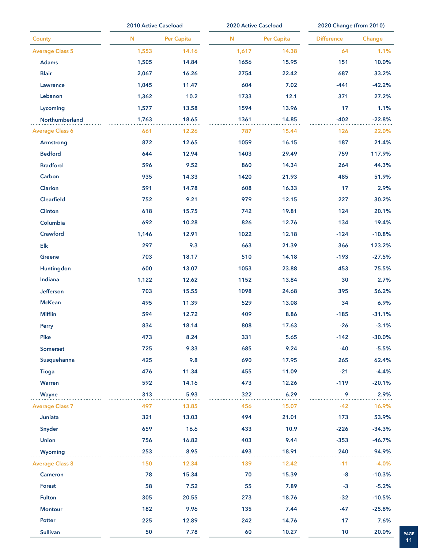|                        | 2010 Active Caseload |            | 2020 Active Caseload |            | 2020 Change (from 2010) |          |  |
|------------------------|----------------------|------------|----------------------|------------|-------------------------|----------|--|
| County                 | N                    | Per Capita | N                    | Per Capita | <b>Difference</b>       | Change   |  |
| <b>Average Class 5</b> | 1,553                | 14.16      | 1,617                | 14.38      | 64                      | 1.1%     |  |
| <b>Adams</b>           | 1,505                | 14.84      | 1656                 | 15.95      | 151                     | 10.0%    |  |
| <b>Blair</b>           | 2,067                | 16.26      | 2754                 | 22.42      | 687                     | 33.2%    |  |
| Lawrence               | 1,045                | 11.47      | 604                  | 7.02       | $-441$                  | $-42.2%$ |  |
| Lebanon                | 1,362                | 10.2       | 1733                 | 12.1       | 371                     | 27.2%    |  |
| Lycoming               | 1,577                | 13.58      | 1594                 | 13.96      | 17                      | 1.1%     |  |
| Northumberland         | 1,763                | 18.65      | 1361                 | 14.85      | $-402$                  | $-22.8%$ |  |
| <b>Average Class 6</b> | 661                  | 12.26      | 787                  | 15.44      | 126                     | 22.0%    |  |
| Armstrong              | 872                  | 12.65      | 1059                 | 16.15      | 187                     | 21.4%    |  |
| <b>Bedford</b>         | 644                  | 12.94      | 1403                 | 29.49      | 759                     | 117.9%   |  |
| <b>Bradford</b>        | 596                  | 9.52       | 860                  | 14.34      | 264                     | 44.3%    |  |
| Carbon                 | 935                  | 14.33      | 1420                 | 21.93      | 485                     | 51.9%    |  |
| Clarion                | 591                  | 14.78      | 608                  | 16.33      | 17                      | 2.9%     |  |
| <b>Clearfield</b>      | 752                  | 9.21       | 979                  | 12.15      | 227                     | 30.2%    |  |
| Clinton                | 618                  | 15.75      | 742                  | 19.81      | 124                     | 20.1%    |  |
| Columbia               | 692                  | 10.28      | 826                  | 12.76      | 134                     | 19.4%    |  |
| Crawford               | 1,146                | 12.91      | 1022                 | 12.18      | $-124$                  | $-10.8%$ |  |
| $E$ lk                 | 297                  | 9.3        | 663                  | 21.39      | 366                     | 123.2%   |  |
| <b>Greene</b>          | 703                  | 18.17      | 510                  | 14.18      | $-193$                  | $-27.5%$ |  |
| Huntingdon             | 600                  | 13.07      | 1053                 | 23.88      | 453                     | 75.5%    |  |
| Indiana                | 1,122                | 12.62      | 1152                 | 13.84      | 30                      | 2.7%     |  |
| Jefferson              | 703                  | 15.55      | 1098                 | 24.68      | 395                     | 56.2%    |  |
| <b>McKean</b>          | 495                  | 11.39      | 529                  | 13.08      | 34                      | 6.9%     |  |
| <b>Mifflin</b>         | 594                  | 12.72      | 409                  | 8.86       | $-185$                  | $-31.1%$ |  |
| Perry                  | 834                  | 18.14      | 808                  | 17.63      | $-26$                   | $-3.1%$  |  |
| Pike                   | 473                  | 8.24       | 331                  | 5.65       | $-142$                  | $-30.0%$ |  |
| Somerset               | 725                  | 9.33       | 685                  | 9.24       | $-40$                   | $-5.5%$  |  |
| Susquehanna            | 425                  | 9.8        | 690                  | 17.95      | 265                     | 62.4%    |  |
| <b>Tioga</b>           | 476                  | 11.34      | 455                  | 11.09      | $-21$                   | $-4.4%$  |  |
| Warren                 | 592                  | 14.16      | 473                  | 12.26      | $-119$                  | $-20.1%$ |  |
| Wayne                  | 313                  | 5.93       | 322                  | 6.29       | 9                       | 2.9%     |  |
| <b>Average Class 7</b> | 497                  | 13.85      | 456                  | 15.07      | $-42$                   | 16.9%    |  |
| Juniata                | 321                  | 13.03      | 494                  | 21.01      | 173                     | 53.9%    |  |
| Snyder                 | 659                  | 16.6       | 433                  | 10.9       | $-226$                  | $-34.3%$ |  |
| <b>Union</b>           | 756                  | 16.82      | 403                  | 9.44       | $-353$                  | $-46.7%$ |  |
| Wyoming                | 253                  | 8.95       | 493                  | 18.91      | 240                     | 94.9%    |  |
| <b>Average Class 8</b> | 150                  | 12.34      | 139                  | 12.42      | $-11$                   | $-4.0%$  |  |
| Cameron                | 78                   | 15.34      | 70                   | 15.39      | $-8$                    | $-10.3%$ |  |
| <b>Forest</b>          | 58                   | 7.52       | 55                   | 7.89       | $-3$                    | $-5.2%$  |  |
| <b>Fulton</b>          | 305                  | 20.55      | 273                  | 18.76      | $-32$                   | $-10.5%$ |  |
| <b>Montour</b>         | 182                  | 9.96       | 135                  | 7.44       | $-47$                   | $-25.8%$ |  |
| Potter                 | 225                  | 12.89      | 242                  | 14.76      | 17                      | 7.6%     |  |
| <b>Sullivan</b>        | 50                   | 7.78       | 60                   | 10.27      | 10                      | 20.0%    |  |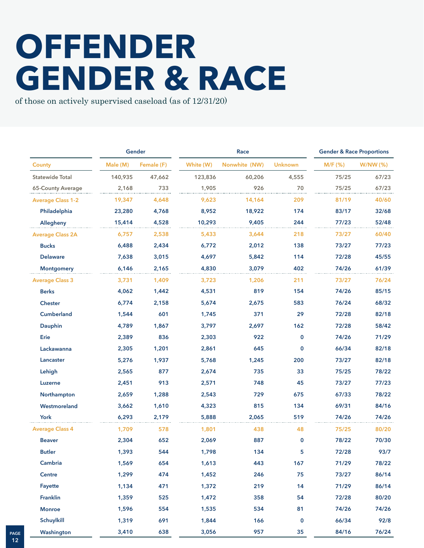### **OFFENDER GENDER & RACE**

of those on actively supervised caseload (as of 12/31/20)

|                          |          | Gender     | Race      |               |                |           | <b>Gender &amp; Race Proportions</b> |  |
|--------------------------|----------|------------|-----------|---------------|----------------|-----------|--------------------------------------|--|
| <b>County</b>            | Male (M) | Female (F) | White (W) | Nonwhite (NW) | <b>Unknown</b> | $M/F$ (%) | W/NW(%)                              |  |
| <b>Statewide Total</b>   | 140,935  | 47,662     | 123,836   | 60,206        | 4,555          | 75/25     | 67/23                                |  |
| 65-County Average        | 2,168    | 733        | 1,905     | 926           | 70             | 75/25     | 67/23                                |  |
| <b>Average Class 1-2</b> | 19,347   | 4,648      | 9,623     | 14,164        | 209            | 81/19     | 40/60                                |  |
| Philadelphia             | 23,280   | 4,768      | 8,952     | 18,922        | 174            | 83/17     | 32/68                                |  |
| Allegheny                | 15,414   | 4,528      | 10,293    | 9,405         | 244            | 77/23     | 52/48                                |  |
| <b>Average Class 2A</b>  | 6,757    | 2,538      | 5,433     | 3,644         | 218            | 73/27     | 60/40                                |  |
| <b>Bucks</b>             | 6,488    | 2,434      | 6,772     | 2,012         | 138            | 73/27     | 77/23                                |  |
| <b>Delaware</b>          | 7,638    | 3,015      | 4,697     | 5,842         | 114            | 72/28     | 45/55                                |  |
| <b>Montgomery</b>        | 6,146    | 2,165      | 4,830     | 3,079         | 402            | 74/26     | 61/39                                |  |
| <b>Average Class 3</b>   | 3,731    | 1,409      | 3,723     | 1,206         | 211            | 73/27     | 76/24                                |  |
| <b>Berks</b>             | 4,062    | 1,442      | 4,531     | 819           | 154            | 74/26     | 85/15                                |  |
| <b>Chester</b>           | 6,774    | 2,158      | 5,674     | 2,675         | 583            | 76/24     | 68/32                                |  |
| <b>Cumberland</b>        | 1,544    | 601        | 1,745     | 371           | 29             | 72/28     | 82/18                                |  |
| Dauphin                  | 4,789    | 1,867      | 3,797     | 2,697         | 162            | 72/28     | 58/42                                |  |
| Erie                     | 2,389    | 836        | 2,303     | 922           | 0              | 74/26     | 71/29                                |  |
| Lackawanna               | 2,305    | 1,201      | 2,861     | 645           | 0              | 66/34     | 82/18                                |  |
| Lancaster                | 5,276    | 1,937      | 5,768     | 1,245         | 200            | 73/27     | 82/18                                |  |
| Lehigh                   | 2,565    | 877        | 2,674     | 735           | 33             | 75/25     | 78/22                                |  |
| Luzerne                  | 2,451    | 913        | 2,571     | 748           | 45             | 73/27     | 77/23                                |  |
| Northampton              | 2,659    | 1,288      | 2,543     | 729           | 675            | 67/33     | 78/22                                |  |
| Westmoreland             | 3,662    | 1,610      | 4,323     | 815           | 134            | 69/31     | 84/16                                |  |
| York                     | 6,293    | 2,179      | 5,888     | 2,065         | 519            | 74/26     | 74/26                                |  |
| <b>Average Class 4</b>   | 1,709    | 578        | 1,801     | 438           | 48             | 75/25     | 80/20                                |  |
| <b>Beaver</b>            | 2,304    | 652        | 2,069     | 887           | 0              | 78/22     | 70/30                                |  |
| <b>Butler</b>            | 1,393    | 544        | 1,798     | 134           | 5              | 72/28     | 93/7                                 |  |
| Cambria                  | 1,569    | 654        | 1,613     | 443           | 167            | 71/29     | 78/22                                |  |
| Centre                   | 1,299    | 474        | 1,452     | 246           | 75             | 73/27     | 86/14                                |  |
| Fayette                  | 1,134    | 471        | 1,372     | 219           | 14             | 71/29     | 86/14                                |  |
| Franklin                 | 1,359    | 525        | 1,472     | 358           | 54             | 72/28     | 80/20                                |  |
| <b>Monroe</b>            | 1,596    | 554        | 1,535     | 534           | 81             | 74/26     | 74/26                                |  |
| Schuylkill               | 1,319    | 691        | 1,844     | 166           | 0              | 66/34     | 92/8                                 |  |
| Washington               | 3,410    | 638        | 3,056     | 957           | 35             | 84/16     | 76/24                                |  |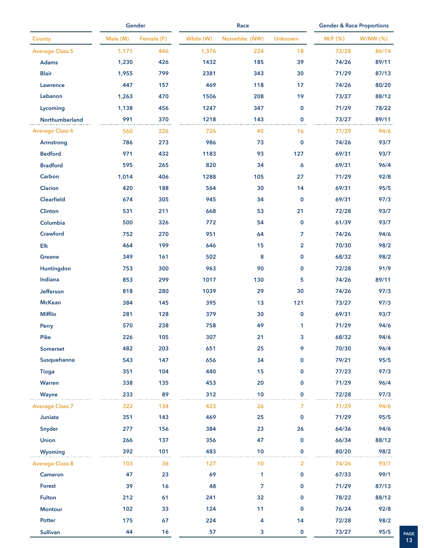|                        |          | Gender     |           | Race           |                |         | <b>Gender &amp; Race Proportions</b> |  |  |
|------------------------|----------|------------|-----------|----------------|----------------|---------|--------------------------------------|--|--|
| County                 | Male (M) | Female (F) | White (W) | Nonwhite (NW)  | <b>Unknown</b> | M/F (%) | W/NW (%)                             |  |  |
| <b>Average Class 5</b> | 1,171    | 446        | 1,376     | 224            | 18             | 72/28   | 86/14                                |  |  |
| <b>Adams</b>           | 1,230    | 426        | 1432      | 185            | 39             | 74/26   | 89/11                                |  |  |
| <b>Blair</b>           | 1,955    | 799        | 2381      | 343            | 30             | 71/29   | 87/13                                |  |  |
| Lawrence               | 447      | 157        | 469       | 118            | 17             | 74/26   | 80/20                                |  |  |
| Lebanon                | 1,263    | 470        | 1506      | 208            | 19             | 73/27   | 88/12                                |  |  |
| Lycoming               | 1,138    | 456        | 1247      | 347            | $\mathbf 0$    | 71/29   | 78/22                                |  |  |
| Northumberland         | 991      | 370        | 1218      | 143            | $\mathbf 0$    | 73/27   | 89/11                                |  |  |
| <b>Average Class 6</b> | 560      | 226        | 726       | 45             | 16             | 71/29   | 94/6                                 |  |  |
| Armstrong              | 786      | 273        | 986       | 73             | $\mathbf 0$    | 74/26   | 93/7                                 |  |  |
| <b>Bedford</b>         | 971      | 432        | 1183      | 93             | 127            | 69/31   | 93/7                                 |  |  |
| <b>Bradford</b>        | 595      | 265        | 820       | 34             | 6              | 69/31   | 96/4                                 |  |  |
| Carbon                 | 1,014    | 406        | 1288      | 105            | 27             | 71/29   | 92/8                                 |  |  |
| Clarion                | 420      | 188        | 564       | 30             | 14             | 69/31   | 95/5                                 |  |  |
| Clearfield             | 674      | 305        | 945       | 34             | $\mathbf 0$    | 69/31   | 97/3                                 |  |  |
| Clinton                | 531      | 211        | 668       | 53             | 21             | 72/28   | 93/7                                 |  |  |
| Columbia               | 500      | 326        | 772       | 54             | $\mathbf 0$    | 61/39   | 93/7                                 |  |  |
| Crawford               | 752      | 270        | 951       | 64             | 7              | 74/26   | 94/6                                 |  |  |
| Elk                    | 464      | 199        | 646       | 15             | $\overline{2}$ | 70/30   | 98/2                                 |  |  |
| <b>Greene</b>          | 349      | 161        | 502       | 8              | 0              | 68/32   | 98/2                                 |  |  |
| Huntingdon             | 753      | 300        | 963       | 90             | $\mathbf 0$    | 72/28   | 91/9                                 |  |  |
| Indiana                | 853      | 299        | 1017      | 130            | 5              | 74/26   | 89/11                                |  |  |
| Jefferson              | 818      | 280        | 1039      | 29             | 30             | 74/26   | 97/3                                 |  |  |
| <b>McKean</b>          | 384      | 145        | 395       | 13             | 121            | 73/27   | 97/3                                 |  |  |
| <b>Mifflin</b>         | 281      | 128        | 379       | 30             | $\mathbf 0$    | 69/31   | 93/7                                 |  |  |
| Perry                  | 570      | 238        | 758       | 49             | 1              | 71/29   | 94/6                                 |  |  |
| Pike                   | 226      | 105        | 307       | 21             | 3              | 68/32   | 94/6                                 |  |  |
| <b>Somerset</b>        | 482      | 203        | 651       | 25             | 9              | 70/30   | 96/4                                 |  |  |
| Susquehanna            | 543      | 147        | 656       | 34             | 0              | 79/21   | 95/5                                 |  |  |
| <b>Tioga</b>           | 351      | 104        | 440       | 15             | $\mathbf{0}$   | 77/23   | 97/3                                 |  |  |
| Warren                 | 338      | 135        | 453       | 20             | 0              | 71/29   | 96/4                                 |  |  |
| Wayne                  | 233      | 89         | 312       | 10             | $\mathbf{0}$   | 72/28   | 97/3                                 |  |  |
| <b>Average Class 7</b> | 322      | 134        | 423       | 26             | 7              | 71/29   | 94/6                                 |  |  |
| Juniata                | 351      | 143        | 469       | 25             | $\mathbf 0$    | 71/29   | 95/5                                 |  |  |
| Snyder                 | 277      | 156        | 384       | 23             | 26             | 64/36   | 94/6                                 |  |  |
| <b>Union</b>           | 266      | 137        | 356       | 47             | 0              | 66/34   | 88/12                                |  |  |
| Wyoming                | 392      | 101        | 483       | 10             | $\mathbf{0}$   | 80/20   | 98/2                                 |  |  |
| <b>Average Class 8</b> | 103      | 36         | 127       | 10             | 2              | 74/26   | 93/7                                 |  |  |
| Cameron                | 47       | 23         | 69        | 1              | 0              | 67/33   | 99/1                                 |  |  |
| <b>Forest</b>          | 39       | 16         | 48        | $\overline{7}$ | 0              | 71/29   | 87/13                                |  |  |
| <b>Fulton</b>          | 212      | 61         | 241       | 32             | $\mathbf 0$    | 78/22   | 88/12                                |  |  |
| <b>Montour</b>         | 102      | 33         | 124       | 11             | $\mathbf 0$    | 76/24   | 92/8                                 |  |  |
| Potter                 | 175      | 67         | 224       | 4              | 14             | 72/28   | 98/2                                 |  |  |
| <b>Sullivan</b>        | 44       | 16         | 57        | 3              | $\mathbf 0$    | 73/27   | 95/5                                 |  |  |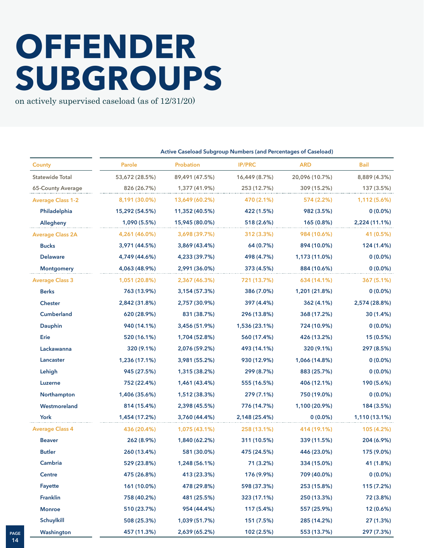## **OFFENDER SUBGROUPS**

on actively supervised caseload (as of 12/31/20)

|                          | Active Caseload Subgroup Numbers (and Percentages of Caseload) |                |               |                |               |  |  |  |
|--------------------------|----------------------------------------------------------------|----------------|---------------|----------------|---------------|--|--|--|
| <b>County</b>            | Parole                                                         | Probation      | <b>IP/PRC</b> | <b>ARD</b>     | <b>Bail</b>   |  |  |  |
| <b>Statewide Total</b>   | 53,672 (28.5%)                                                 | 89,491 (47.5%) | 16,449 (8.7%) | 20,096 (10.7%) | 8,889 (4.3%)  |  |  |  |
| 65-County Average        | 826 (26.7%)                                                    | 1,377 (41.9%)  | 253 (12.7%)   | 309 (15.2%)    | 137 (3.5%)    |  |  |  |
| <b>Average Class 1-2</b> | 8,191 (30.0%)                                                  | 13,649 (60.2%) | 470 (2.1%)    | 574 (2.2%)     | 1,112 (5.6%)  |  |  |  |
| Philadelphia             | 15,292 (54.5%)                                                 | 11,352 (40.5%) | 422 (1.5%)    | 982 (3.5%)     | $0(0.0\%)$    |  |  |  |
| Allegheny                | 1,090 (5.5%)                                                   | 15,945 (80.0%) | 518 (2.6%)    | 165 (0.8%)     | 2,224 (11.1%) |  |  |  |
| <b>Average Class 2A</b>  | 4,261 (46.0%)                                                  | 3,698 (39.7%)  | 312 (3.3%)    | 984 (10.6%)    | 41 (0.5%)     |  |  |  |
| <b>Bucks</b>             | 3,971 (44.5%)                                                  | 3,869 (43.4%)  | 64 (0.7%)     | 894 (10.0%)    | 124 (1.4%)    |  |  |  |
| <b>Delaware</b>          | 4,749 (44.6%)                                                  | 4,233 (39.7%)  | 498 (4.7%)    | 1,173 (11.0%)  | $0(0.0\%)$    |  |  |  |
| <b>Montgomery</b>        | 4,063 (48.9%)                                                  | 2,991 (36.0%)  | 373 (4.5%)    | 884 (10.6%)    | $0(0.0\%)$    |  |  |  |
| <b>Average Class 3</b>   | 1,051 (20.8%)                                                  | 2,367 (46.3%)  | 721 (13.7%)   | 634 (14.1%)    | 367 (5.1%)    |  |  |  |
| <b>Berks</b>             | 763 (13.9%)                                                    | 3,154 (57.3%)  | 386 (7.0%)    | 1,201 (21.8%)  | $0(0.0\%)$    |  |  |  |
| <b>Chester</b>           | 2,842 (31.8%)                                                  | 2,757 (30.9%)  | 397 (4.4%)    | 362 (4.1%)     | 2,574 (28.8%) |  |  |  |
| <b>Cumberland</b>        | 620 (28.9%)                                                    | 831 (38.7%)    | 296 (13.8%)   | 368 (17.2%)    | 30(1.4%)      |  |  |  |
| Dauphin                  | 940 (14.1%)                                                    | 3,456 (51.9%)  | 1,536 (23.1%) | 724 (10.9%)    | $0(0.0\%)$    |  |  |  |
| Erie                     | 520 (16.1%)                                                    | 1,704 (52.8%)  | 560 (17.4%)   | 426 (13.2%)    | 15 (0.5%)     |  |  |  |
| Lackawanna               | 320 (9.1%)                                                     | 2,076 (59.2%)  | 493 (14.1%)   | 320 (9.1%)     | 297 (8.5%)    |  |  |  |
| Lancaster                | 1,236 (17.1%)                                                  | 3,981 (55.2%)  | 930 (12.9%)   | 1,066 (14.8%)  | $0(0.0\%)$    |  |  |  |
| Lehigh                   | 945 (27.5%)                                                    | 1,315 (38.2%)  | 299 (8.7%)    | 883 (25.7%)    | $0(0.0\%)$    |  |  |  |
| Luzerne                  | 752 (22.4%)                                                    | 1,461 (43.4%)  | 555 (16.5%)   | 406 (12.1%)    | 190 (5.6%)    |  |  |  |
| Northampton              | 1,406 (35.6%)                                                  | 1,512 (38.3%)  | 279 (7.1%)    | 750 (19.0%)    | $0(0.0\%)$    |  |  |  |
| Westmoreland             | 814 (15.4%)                                                    | 2,398 (45.5%)  | 776 (14.7%)   | 1,100 (20.9%)  | 184 (3.5%)    |  |  |  |
| York                     | 1,454 (17.2%)                                                  | 3,760 (44.4%)  | 2,148 (25.4%) | $0(0.0\%)$     | 1,110 (13.1%) |  |  |  |
| <b>Average Class 4</b>   | 436 (20.4%)                                                    | 1,075 (43.1%)  | 258 (13.1%)   | 414 (19.1%)    | 105 (4.2%)    |  |  |  |
| <b>Beaver</b>            | 262 (8.9%)                                                     | 1,840 (62.2%)  | 311 (10.5%)   | 339 (11.5%)    | 204 (6.9%)    |  |  |  |
| <b>Butler</b>            | 260 (13.4%)                                                    | 581 (30.0%)    | 475 (24.5%)   | 446 (23.0%)    | 175 (9.0%)    |  |  |  |
| Cambria                  | 529 (23.8%)                                                    | 1,248 (56.1%)  | 71 (3.2%)     | 334 (15.0%)    | 41 (1.8%)     |  |  |  |
| <b>Centre</b>            | 475 (26.8%)                                                    | 413 (23.3%)    | 176 (9.9%)    | 709 (40.0%)    | $0(0.0\%)$    |  |  |  |
| Fayette                  | 161 (10.0%)                                                    | 478 (29.8%)    | 598 (37.3%)   | 253 (15.8%)    | 115 (7.2%)    |  |  |  |
| <b>Franklin</b>          | 758 (40.2%)                                                    | 481 (25.5%)    | 323 (17.1%)   | 250 (13.3%)    | 72 (3.8%)     |  |  |  |
| <b>Monroe</b>            | 510 (23.7%)                                                    | 954 (44.4%)    | 117 (5.4%)    | 557 (25.9%)    | 12 (0.6%)     |  |  |  |
| Schuylkill               | 508 (25.3%)                                                    | 1,039 (51.7%)  | 151 (7.5%)    | 285 (14.2%)    | 27 (1.3%)     |  |  |  |
| Washington               | 457 (11.3%)                                                    | 2,639 (65.2%)  | 102 (2.5%)    | 553 (13.7%)    | 297 (7.3%)    |  |  |  |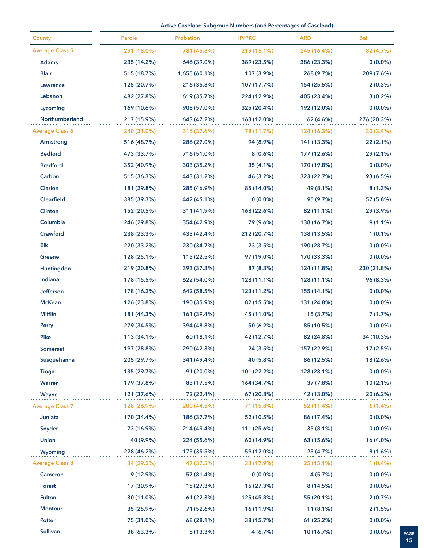**Active Caseload Subgroup Numbers (and Percentages of Caseload)**

| County                 | Parole      | Probation     | <b>IP/PRC</b> | <b>ARD</b>  | Bail        |
|------------------------|-------------|---------------|---------------|-------------|-------------|
| <b>Average Class 5</b> | 291 (18.0%) | 781 (45.8%)   | 219 (15.1%)   | 245 (16.4%) | 82 (4.7%)   |
| <b>Adams</b>           | 235 (14.2%) | 646 (39.0%)   | 389 (23.5%)   | 386 (23.3%) | $0(0.0\%)$  |
| <b>Blair</b>           | 515 (18.7%) | 1,655 (60.1%) | 107 (3.9%)    | 268 (9.7%)  | 209 (7.6%)  |
| Lawrence               | 125 (20.7%) | 216 (35.8%)   | 107 (17.7%)   | 154 (25.5%) | 2(0.3%)     |
| Lebanon                | 482 (27.8%) | 619 (35.7%)   | 224 (12.9%)   | 405 (23.4%) | $3(0.2\%)$  |
| Lycoming               | 169 (10.6%) | 908 (57.0%)   | 325 (20.4%)   | 192 (12.0%) | $0(0.0\%)$  |
| Northumberland         | 217 (15.9%) | 643 (47.2%)   | 163 (12.0%)   | 62 (4.6%)   | 276 (20.3%) |
| <b>Average Class 6</b> | 240 (31.0%) | 316 (37.6%)   | 78 (11.7%)    | 124 (16.3%) | 30 (3.4%)   |
| Armstrong              | 516 (48.7%) | 286 (27.0%)   | 94 (8.9%)     | 141 (13.3%) | 22(2.1%)    |
| <b>Bedford</b>         | 473 (33.7%) | 716 (51.0%)   | 8(0.6%)       | 177 (12.6%) | 29 (2.1%)   |
| <b>Bradford</b>        | 352 (40.9%) | 303 (35.2%)   | 35 (4.1%)     | 170 (19.8%) | $0(0.0\%)$  |
| Carbon                 | 515 (36.3%) | 443 (31.2%)   | 46 (3.2%)     | 323 (22.7%) | 93 (6.5%)   |
| Clarion                | 181 (29.8%) | 285 (46.9%)   | 85 (14.0%)    | 49 (8.1%)   | $8(1.3\%)$  |
| Clearfield             | 385 (39.3%) | 442 (45.1%)   | $0(0.0\%)$    | 95 (9.7%)   | 57 (5.8%)   |
| Clinton                | 152 (20.5%) | 311 (41.9%)   | 168 (22.6%)   | 82 (11.1%)  | 29 (3.9%)   |
| Columbia               | 246 (29.8%) | 354 (42.9%)   | 79 (9.6%)     | 138 (16.7%) | $9(1.1\%)$  |
| Crawford               | 238 (23.3%) | 433 (42.4%)   | 212 (20.7%)   | 138 (13.5%) | $1(0.1\%)$  |
| Elk                    | 220 (33.2%) | 230 (34.7%)   | 23 (3.5%)     | 190 (28.7%) | $0(0.0\%)$  |
| <b>Greene</b>          | 128 (25.1%) | 115 (22.5%)   | 97 (19.0%)    | 170 (33.3%) | $0(0.0\%)$  |
| Huntingdon             | 219 (20.8%) | 393 (37.3%)   | 87 (8.3%)     | 124 (11.8%) | 230 (21.8%) |
| Indiana                | 178 (15.5%) | 622 (54.0%)   | 128 (11.1%)   | 128 (11.1%) | 96 (8.3%)   |
| Jefferson              | 178 (16.2%) | 642 (58.5%)   | 123 (11.2%)   | 155 (14.1%) | $0(0.0\%)$  |
| <b>McKean</b>          | 126 (23.8%) | 190 (35.9%)   | 82 (15.5%)    | 131 (24.8%) | $0(0.0\%)$  |
| <b>Mifflin</b>         | 181 (44.3%) | 161 (39.4%)   | 45 (11.0%)    | 15(3.7%)    | 7(1.7%)     |
| Perry                  | 279 (34.5%) | 394 (48.8%)   | 50 (6.2%)     | 85 (10.5%)  | $0(0.0\%)$  |
| Pike                   | 113 (34.1%) | 60 (18.1%)    | 42 (12.7%)    | 82 (24.8%)  | 34 (10.3%)  |
| <b>Somerset</b>        | 197 (28.8%) | 290 (42.3%)   | 24 (3.5%)     | 157 (22.9%) | 17 (2.5%)   |
| Susquehanna            | 205 (29.7%) | 341 (49.4%)   | 40 (5.8%)     | 86 (12.5%)  | 18 (2.6%)   |
| <b>Tioga</b>           | 135 (29.7%) | 91 (20.0%)    | 101 (22.2%)   | 128 (28.1%) | $0(0.0\%)$  |
| Warren                 | 179 (37.8%) | 83 (17.5%)    | 164 (34.7%)   | 37 (7.8%)   | $10(2.1\%)$ |
| Wayne                  | 121 (37.6%) | 72 (22.4%)    | 67 (20.8%)    | 42 (13.0%)  | 20(6.2%)    |
| <b>Average Class 7</b> | 128 (26.9%) | 200 (44.5%)   | 71 (15.8%)    | 52 (11.4%)  | 6(1.4%)     |
| Juniata                | 170 (34.4%) | 186 (37.7%)   | 52 (10.5%)    | 86 (17.4%)  | $0(0.0\%)$  |
| Snyder                 | 73 (16.9%)  | 214 (49.4%)   | 111 (25.6%)   | 35(8.1%)    | $0(0.0\%)$  |
| <b>Union</b>           | 40 (9.9%)   | 224 (55.6%)   | 60 (14.9%)    | 63 (15.6%)  | 16 (4.0%)   |
| <b>Wyoming</b>         | 228 (46.2%) | 175 (35.5%)   | 59 (12.0%)    | 23 (4.7%)   | 8(1.6%)     |
| <b>Average Class 8</b> | 34 (29.2%)  | 47 (37.5%)    | 33 (17.9%)    | 25 (15.1%)  | $1(0.4\%)$  |
| <b>Cameron</b>         | $9(12.9\%)$ | 57 (81.4%)    | $0(0.0\%)$    | 4(5.7%)     | $0(0.0\%)$  |
| <b>Forest</b>          | 17 (30.9%)  | 15 (27.3%)    | 15 (27.3%)    | 8(14.5%)    | $0(0.0\%)$  |
| <b>Fulton</b>          | 30 (11.0%)  | 61 (22.3%)    | 125 (45.8%)   | 55 (20.1%)  | 2(0.7%)     |
| <b>Montour</b>         | 35 (25.9%)  | 71 (52.6%)    | 16 (11.9%)    | $11(8.1\%)$ | 2(1.5%)     |
| Potter                 | 75 (31.0%)  | 68 (28.1%)    | 38 (15.7%)    | 61 (25.2%)  | $0(0.0\%)$  |
| <b>Sullivan</b>        | 38 (63.3%)  | 8 (13.3%)     | 4(6.7%)       | 10 (16.7%)  | $0(0.0\%)$  |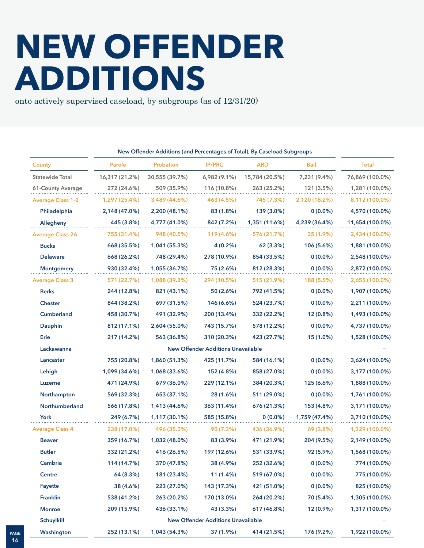### **NEW OFFENDER ADDITIONS**

onto actively supervised caseload, by subgroups (as of 12/31/20)

|                          | New Offender Additions (and Percentages of Total), By Caseload Subgroups |                  |                                           |                |               |                 |
|--------------------------|--------------------------------------------------------------------------|------------------|-------------------------------------------|----------------|---------------|-----------------|
| <b>County</b>            | Parole                                                                   | <b>Probation</b> | <b>IP/PRC</b>                             | <b>ARD</b>     | <b>Bail</b>   | <b>Total</b>    |
| <b>Statewide Total</b>   | 16,317 (21.2%)                                                           | 30,555 (39.7%)   | 6,982 (9.1%)                              | 15,784 (20.5%) | 7,231 (9.4%)  | 76,869 (100.0%) |
| 61-County Average        | 272 (24.6%)                                                              | 509 (35.9%)      | 116 (10.8%)                               | 263 (25.2%)    | 121 (3.5%)    | 1,281 (100.0%)  |
| <b>Average Class 1-2</b> | 1,297 (25.4%)                                                            | 3,489 (44.6%)    | 463 (4.5%)                                | 745 (7.3%)     | 2,120 (18.2%) | 8,112 (100.0%)  |
| Philadelphia             | 2,148 (47.0%)                                                            | 2,200 (48.1%)    | 83 (1.8%)                                 | 139 (3.0%)     | $0(0.0\%)$    | 4,570 (100.0%)  |
| Allegheny                | 445 (3.8%)                                                               | 4,777 (41.0%)    | 842 (7.2%)                                | 1,351 (11.6%)  | 4,239 (36.4%) | 11,654 (100.0%) |
| <b>Average Class 2A</b>  | 755 (31.4%)                                                              | 948 (40.5%)      | 119 (4.6%)                                | 576 (21.7%)    | 35 (1.9%)     | 2,434 (100.0%)  |
| <b>Bucks</b>             | 668 (35.5%)                                                              | 1,041 (55.3%)    | 4(0.2%)                                   | 62 (3.3%)      | 106 (5.6%)    | 1,881 (100.0%)  |
| <b>Delaware</b>          | 668 (26.2%)                                                              | 748 (29.4%)      | 278 (10.9%)                               | 854 (33.5%)    | $0(0.0\%)$    | 2,548 (100.0%)  |
| <b>Montgomery</b>        | 930 (32.4%)                                                              | 1,055 (36.7%)    | 75 (2.6%)                                 | 812 (28.3%)    | $0(0.0\%)$    | 2,872 (100.0%)  |
| <b>Average Class 3</b>   | 571 (22.7%)                                                              | 1,088 (39.3%)    | 294 (10.5%)                               | 515 (21.9%)    | 188 (5.5%)    | 2,655 (100.0%)  |
| <b>Berks</b>             | 244 (12.8%)                                                              | 821 (43.1%)      | 50 (2.6%)                                 | 792 (41.5%)    | $0(0.0\%)$    | 1,907 (100.0%)  |
| <b>Chester</b>           | 844 (38.2%)                                                              | 697 (31.5%)      | 146 (6.6%)                                | 524 (23.7%)    | $0(0.0\%)$    | 2,211 (100.0%)  |
| <b>Cumberland</b>        | 458 (30.7%)                                                              | 491 (32.9%)      | 200 (13.4%)                               | 332 (22.2%)    | 12 (0.8%)     | 1,493 (100.0%)  |
| Dauphin                  | 812 (17.1%)                                                              | 2,604 (55.0%)    | 743 (15.7%)                               | 578 (12.2%)    | $0(0.0\%)$    | 4,737 (100.0%)  |
| Erie                     | 217 (14.2%)                                                              | 563 (36.8%)      | 310 (20.3%)                               | 423 (27.7%)    | 15 (1.0%)     | 1,528 (100.0%)  |
| Lackawanna               |                                                                          |                  | <b>New Offender Additions Unavailable</b> |                |               |                 |
| Lancaster                | 755 (20.8%)                                                              | 1,860 (51.3%)    | 425 (11.7%)                               | 584 (16.1%)    | $0(0.0\%)$    | 3,624 (100.0%)  |
| Lehigh                   | 1,099 (34.6%)                                                            | 1,068 (33.6%)    | 152 (4.8%)                                | 858 (27.0%)    | $0(0.0\%)$    | 3,177 (100.0%)  |
| Luzerne                  | 471 (24.9%)                                                              | 679 (36.0%)      | 229 (12.1%)                               | 384 (20.3%)    | 125 (6.6%)    | 1,888 (100.0%)  |
| Northampton              | 569 (32.3%)                                                              | 653 (37.1%)      | 28 (1.6%)                                 | 511 (29.0%)    | $0(0.0\%)$    | 1,761 (100.0%)  |
| Northumberland           | 566 (17.8%)                                                              | 1,413 (44.6%)    | 363 (11.4%)                               | 676 (21.3%)    | 153 (4.8%)    | 3,171 (100.0%)  |
| York                     | 249 (6.7%)                                                               | 1,117 (30.1%)    | 585 (15.8%)                               | $0(0.0\%)$     | 1,759 (47.4%) | 3,710 (100.0%)  |
| <b>Average Class 4</b>   | 238 (17.0%)                                                              | 496 (35.0%)      | 90 (7.3%)                                 | 436 (36.9%)    | 69 (3.8%)     | 1,329 (100.0%)  |
| <b>Beaver</b>            | 359 (16.7%)                                                              | 1,032 (48.0%)    | 83 (3.9%)                                 | 471 (21.9%)    | 204 (9.5%)    | 2,149 (100.0%)  |
| <b>Butler</b>            | 332 (21.2%)                                                              | 416 (26.5%)      | 197 (12.6%)                               | 531 (33.9%)    | 92 (5.9%)     | 1,568 (100.0%)  |
| Cambria                  | 114 (14.7%)                                                              | 370 (47.8%)      | 38 (4.9%)                                 | 252 (32.6%)    | $0(0.0\%)$    | 774 (100.0%)    |
| Centre                   | 64 (8.3%)                                                                | 181 (23.4%)      | 11 (1.4%)                                 | 519 (67.0%)    | $0(0.0\%)$    | 775 (100.0%)    |
| Fayette                  | 38 (4.6%)                                                                | 223 (27.0%)      | 143 (17.3%)                               | 421 (51.0%)    | $0(0.0\%)$    | 825 (100.0%)    |
| <b>Franklin</b>          | 538 (41.2%)                                                              | 263 (20.2%)      | 170 (13.0%)                               | 264 (20.2%)    | 70 (5.4%)     | 1,305 (100.0%)  |
| <b>Monroe</b>            | 209 (15.9%)                                                              | 436 (33.1%)      | 43 (3.3%)                                 | 617 (46.8%)    | 12 (0.9%)     | 1,317 (100.0%)  |
| Schuylkill               |                                                                          |                  | <b>New Offender Additions Unavailable</b> |                |               |                 |
| Washington               | 252 (13.1%)                                                              | 1,043 (54.3%)    | 37 (1.9%)                                 | 414 (21.5%)    | 176 (9.2%)    | 1,922 (100.0%)  |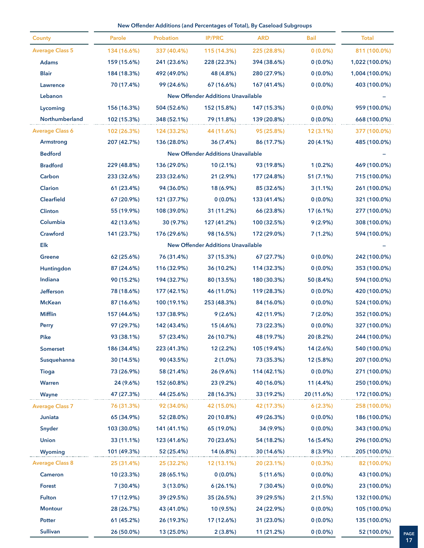#### **New Offender Additions (and Percentages of Total), By Caseload Subgroups**

|                        |             |             |                                           | New Offender Additions (and Percentages of Total), By Caseload Subgroups |             |                |
|------------------------|-------------|-------------|-------------------------------------------|--------------------------------------------------------------------------|-------------|----------------|
| <b>County</b>          | Parole      | Probation   | <b>IP/PRC</b>                             | <b>ARD</b>                                                               | <b>Bail</b> | <b>Total</b>   |
| <b>Average Class 5</b> | 134 (16.6%) | 337 (40.4%) | 115 (14.3%)                               | 225 (28.8%)                                                              | $0(0.0\%)$  | 811 (100.0%)   |
| <b>Adams</b>           | 159 (15.6%) | 241 (23.6%) | 228 (22.3%)                               | 394 (38.6%)                                                              | $0(0.0\%)$  | 1,022 (100.0%) |
| <b>Blair</b>           | 184 (18.3%) | 492 (49.0%) | 48 (4.8%)                                 | 280 (27.9%)                                                              | $0(0.0\%)$  | 1,004 (100.0%) |
| Lawrence               | 70 (17.4%)  | 99 (24.6%)  | 67 (16.6%)                                | 167 (41.4%)                                                              | $0(0.0\%)$  | 403 (100.0%)   |
| Lebanon                |             |             | <b>New Offender Additions Unavailable</b> |                                                                          |             |                |
| Lycoming               | 156 (16.3%) | 504 (52.6%) | 152 (15.8%)                               | 147 (15.3%)                                                              | $0(0.0\%)$  | 959 (100.0%)   |
| Northumberland         | 102 (15.3%) | 348 (52.1%) | 79 (11.8%)                                | 139 (20.8%)                                                              | $0(0.0\%)$  | 668 (100.0%)   |
| <b>Average Class 6</b> | 102 (26.3%) | 124 (33.2%) | 44 (11.6%)                                | 95 (25.8%)                                                               | $12(3.1\%)$ | 377 (100.0%)   |
| <b>Armstrong</b>       | 207 (42.7%) | 136 (28.0%) | 36 (7.4%)                                 | 86 (17.7%)                                                               | 20 (4.1%)   | 485 (100.0%)   |
| <b>Bedford</b>         |             |             | <b>New Offender Additions Unavailable</b> |                                                                          |             |                |
| <b>Bradford</b>        | 229 (48.8%) | 136 (29.0%) | 10(2.1%)                                  | 93 (19.8%)                                                               | $1(0.2\%)$  | 469 (100.0%)   |
| Carbon                 | 233 (32.6%) | 233 (32.6%) | 21(2.9%)                                  | 177 (24.8%)                                                              | 51 (7.1%)   | 715 (100.0%)   |
| Clarion                | 61 (23.4%)  | 94 (36.0%)  | 18 (6.9%)                                 | 85 (32.6%)                                                               | $3(1.1\%)$  | 261 (100.0%)   |
| Clearfield             | 67 (20.9%)  | 121 (37.7%) | $0(0.0\%)$                                | 133 (41.4%)                                                              | $0(0.0\%)$  | 321 (100.0%)   |
| Clinton                | 55 (19.9%)  | 108 (39.0%) | 31 (11.2%)                                | 66 (23.8%)                                                               | $17(6.1\%)$ | 277 (100.0%)   |
| Columbia               | 42 (13.6%)  | 30 (9.7%)   | 127 (41.2%)                               | 100 (32.5%)                                                              | $9(2.9\%)$  | 308 (100.0%)   |
| Crawford               | 141 (23.7%) | 176 (29.6%) | 98 (16.5%)                                | 172 (29.0%)                                                              | 7(1.2%)     | 594 (100.0%)   |
| Elk                    |             |             | <b>New Offender Additions Unavailable</b> |                                                                          |             |                |
| <b>Greene</b>          | 62 (25.6%)  | 76 (31.4%)  | 37 (15.3%)                                | 67 (27.7%)                                                               | $0(0.0\%)$  | 242 (100.0%)   |
| Huntingdon             | 87 (24.6%)  | 116 (32.9%) | 36 (10.2%)                                | 114 (32.3%)                                                              | $0(0.0\%)$  | 353 (100.0%)   |
| Indiana                | 90 (15.2%)  | 194 (32.7%) | 80 (13.5%)                                | 180 (30.3%)                                                              | 50 (8.4%)   | 594 (100.0%)   |
| Jefferson              | 78 (18.6%)  | 177 (42.1%) | 46 (11.0%)                                | 119 (28.3%)                                                              | $0(0.0\%)$  | 420 (100.0%)   |
| <b>McKean</b>          | 87 (16.6%)  | 100 (19.1%) | 253 (48.3%)                               | 84 (16.0%)                                                               | $0(0.0\%)$  | 524 (100.0%)   |
| <b>Mifflin</b>         | 157 (44.6%) | 137 (38.9%) | 9(2.6%)                                   | 42 (11.9%)                                                               | 7(2.0%)     | 352 (100.0%)   |
| Perry                  | 97 (29.7%)  | 142 (43.4%) | 15 (4.6%)                                 | 73 (22.3%)                                                               | $0(0.0\%)$  | 327 (100.0%)   |
| Pike                   | 93 (38.1%)  | 57 (23.4%)  | 26 (10.7%)                                | 48 (19.7%)                                                               | 20 (8.2%)   | 244 (100.0%)   |
| Somerset               | 186 (34.4%) | 223 (41.3%) | 12 (2.2%)                                 | 105 (19.4%)                                                              | 14 (2.6%)   | 540 (100.0%)   |
| Susquehanna            | 30 (14.5%)  | 90 (43.5%)  | $2(1.0\%)$                                | 73 (35.3%)                                                               | 12 (5.8%)   | 207 (100.0%)   |
| <b>Tioga</b>           | 73 (26.9%)  | 58 (21.4%)  | 26 (9.6%)                                 | 114 (42.1%)                                                              | $0(0.0\%)$  | 271 (100.0%)   |
| Warren                 | 24 (9.6%)   | 152 (60.8%) | 23 (9.2%)                                 | 40 (16.0%)                                                               | 11 (4.4%)   | 250 (100.0%)   |
| Wayne                  | 47 (27.3%)  | 44 (25.6%)  | 28 (16.3%)                                | 33 (19.2%)                                                               | 20 (11.6%)  | 172 (100.0%)   |
| <b>Average Class 7</b> | 76 (31.3%)  | 92 (34.0%)  | 42 (15.0%)                                | 42 (17.3%)                                                               | 6(2.3%)     | 258 (100.0%)   |
| Juniata                | 65 (34.9%)  | 52 (28.0%)  | 20 (10.8%)                                | 49 (26.3%)                                                               | $0(0.0\%)$  | 186 (100.0%)   |
| Snyder                 | 103 (30.0%) | 141 (41.1%) | 65 (19.0%)                                | 34 (9.9%)                                                                | $0(0.0\%)$  | 343 (100.0%)   |
| <b>Union</b>           | 33 (11.1%)  | 123 (41.6%) | 70 (23.6%)                                | 54 (18.2%)                                                               | 16 (5.4%)   | 296 (100.0%)   |
| Wyoming                | 101 (49.3%) | 52 (25.4%)  | 14 (6.8%)                                 | 30 (14.6%)                                                               | $8(3.9\%)$  | 205 (100.0%)   |
| <b>Average Class 8</b> | 25 (31.4%)  | 25 (32.2%)  | 12 (13.1%)                                | 20 (23.1%)                                                               | $0(0.3\%)$  | 82 (100.0%)    |
| Cameron                | 10 (23.3%)  | 28 (65.1%)  | $0(0.0\%)$                                | 5(11.6%)                                                                 | $0(0.0\%)$  | 43 (100.0%)    |
| <b>Forest</b>          | 7 (30.4%)   | $3(13.0\%)$ | 6(26.1%)                                  | 7(30.4%)                                                                 | $0(0.0\%)$  | 23 (100.0%)    |
| <b>Fulton</b>          | 17 (12.9%)  | 39 (29.5%)  | 35 (26.5%)                                | 39 (29.5%)                                                               | 2(1.5%)     | 132 (100.0%)   |
| <b>Montour</b>         | 28 (26.7%)  | 43 (41.0%)  | 10 (9.5%)                                 | 24 (22.9%)                                                               | $0(0.0\%)$  | 105 (100.0%)   |
| Potter                 | 61 (45.2%)  | 26 (19.3%)  | 17 (12.6%)                                | 31 (23.0%)                                                               | $0(0.0\%)$  | 135 (100.0%)   |
| <b>Sullivan</b>        | 26 (50.0%)  | 13 (25.0%)  | 2(3.8%)                                   | 11 (21.2%)                                                               | $0(0.0\%)$  | 52 (100.0%)    |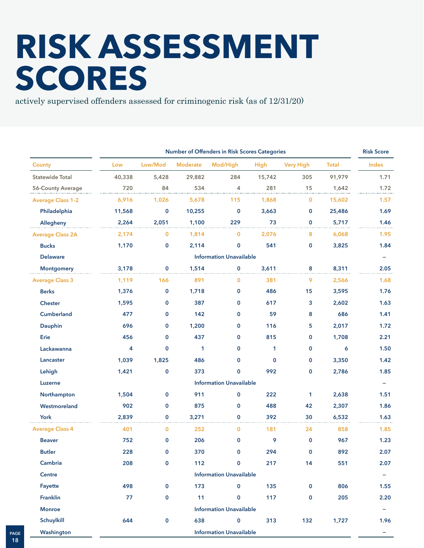# **RISK ASSESSMENT SCORES**

actively supervised offenders assessed for criminogenic risk (as of 12/31/20)

|                          |        |             |                 | Number of Offenders in Risk Scores Categories |             |                  |              | <b>Risk Score</b>        |
|--------------------------|--------|-------------|-----------------|-----------------------------------------------|-------------|------------------|--------------|--------------------------|
| <b>County</b>            | Low    | Low/Mod     | <b>Moderate</b> | Mod/High                                      | <b>High</b> | <b>Very High</b> | <b>Total</b> | Index                    |
| <b>Statewide Total</b>   | 40,338 | 5,428       | 29,882          | 284                                           | 15,742      | 305              | 91,979       | 1.71                     |
| 56-County Average        | 720    | 84          | 534             | 4                                             | 281         | 15               | 1,642        | 1.72                     |
| <b>Average Class 1-2</b> | 6,916  | 1,026       | 5,678           | 115                                           | 1,868       | 0                | 15,602       | 1.57                     |
| Philadelphia             | 11,568 | $\mathbf 0$ | 10,255          | 0                                             | 3,663       | 0                | 25,486       | 1.69                     |
| Allegheny                | 2,264  | 2,051       | 1,100           | 229                                           | 73          | $\mathbf 0$      | 5,717        | 1.46                     |
| <b>Average Class 2A</b>  | 2,174  | $\mathbf 0$ | 1,814           | 0                                             | 2,076       | 8                | 6,068        | 1.95                     |
| <b>Bucks</b>             | 1,170  | $\mathbf 0$ | 2,114           | 0                                             | 541         | 0                | 3,825        | 1.84                     |
| <b>Delaware</b>          |        |             |                 | <b>Information Unavailable</b>                |             |                  |              |                          |
| <b>Montgomery</b>        | 3,178  | $\mathbf 0$ | 1,514           | 0                                             | 3,611       | 8                | 8,311        | 2.05                     |
| <b>Average Class 3</b>   | 1,119  | 166         | 891             | 0                                             | 381         | 9                | 2,566        | 1.68                     |
| <b>Berks</b>             | 1,376  | $\mathbf 0$ | 1,718           | 0                                             | 486         | 15               | 3,595        | 1.76                     |
| <b>Chester</b>           | 1,595  | $\mathbf 0$ | 387             | 0                                             | 617         | 3                | 2,602        | 1.63                     |
| <b>Cumberland</b>        | 477    | $\mathbf 0$ | 142             | 0                                             | 59          | 8                | 686          | 1.41                     |
| Dauphin                  | 696    | $\mathbf 0$ | 1,200           | 0                                             | 116         | 5                | 2,017        | 1.72                     |
| Erie                     | 456    | $\mathbf 0$ | 437             | 0                                             | 815         | $\mathbf 0$      | 1,708        | 2.21                     |
| Lackawanna               | 4      | $\mathbf 0$ | 1               | 0                                             | 1           | 0                | 6            | 1.50                     |
| Lancaster                | 1,039  | 1,825       | 486             | 0                                             | $\mathbf 0$ | 0                | 3,350        | 1.42                     |
| Lehigh                   | 1,421  | $\mathbf 0$ | 373             | 0                                             | 992         | 0                | 2,786        | 1.85                     |
| Luzerne                  |        |             |                 | <b>Information Unavailable</b>                |             |                  |              |                          |
| Northampton              | 1,504  | $\mathbf 0$ | 911             | 0                                             | 222         | 1                | 2,638        | 1.51                     |
| Westmoreland             | 902    | $\mathbf 0$ | 875             | 0                                             | 488         | 42               | 2,307        | 1.86                     |
| York                     | 2,839  | $\mathbf 0$ | 3,271           | 0                                             | 392         | 30               | 6,532        | 1.63                     |
| <b>Average Class 4</b>   | 401    | $\bf{0}$    | 252             | 0                                             | 181         | 24               | 858          | 1.85                     |
| <b>Beaver</b>            | 752    | $\mathbf 0$ | 206             | 0                                             | 9           | $\mathbf 0$      | 967          | 1.23                     |
| <b>Butler</b>            | 228    | $\bf{0}$    | 370             | 0                                             | 294         | $\mathbf 0$      | 892          | 2.07                     |
| Cambria                  | 208    | $\mathbf 0$ | 112             | $\mathbf 0$                                   | 217         | 14               | 551          | 2.07                     |
| Centre                   |        |             |                 | <b>Information Unavailable</b>                |             |                  |              | $\overline{\phantom{m}}$ |
| Fayette                  | 498    | $\mathbf 0$ | 173             | $\mathbf 0$                                   | 135         | 0                | 806          | 1.55                     |
| Franklin                 | 77     | $\pmb{0}$   | 11              | $\pmb{0}$                                     | 117         | $\pmb{0}$        | 205          | 2.20                     |
| <b>Monroe</b>            |        |             |                 | <b>Information Unavailable</b>                |             |                  |              | Ξ.                       |
| Schuylkill               | 644    | $\pmb{0}$   | 638             | 0                                             | 313         | 132              | 1,727        | 1.96                     |
| Washington               |        |             |                 | <b>Information Unavailable</b>                |             |                  |              | -                        |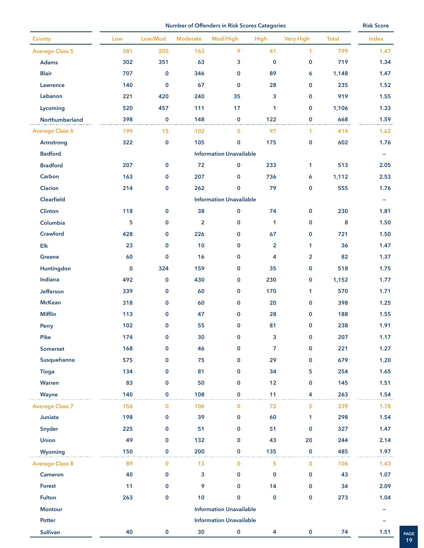**Number of Offenders in Risk Scores Categories Risk Score Risk Score** 

| County                 | Low         | Low/Mod      | Moderate                | Mod/High                       | High           | <b>Very High</b> | <b>Total</b> | Index                    |
|------------------------|-------------|--------------|-------------------------|--------------------------------|----------------|------------------|--------------|--------------------------|
| <b>Average Class 5</b> | 381         | 205          | 163                     | 9                              | 41             | $\mathbf{1}$     | 799          | 1.47                     |
| Adams                  | 302         | 351          | 63                      | 3                              | $\mathbf 0$    | 0                | 719          | 1.34                     |
| <b>Blair</b>           | 707         | 0            | 346                     | 0                              | 89             | 6                | 1,148        | 1.47                     |
| Lawrence               | 140         | $\mathbf 0$  | 67                      | $\mathbf 0$                    | 28             | 0                | 235          | 1.52                     |
| Lebanon                | 221         | 420          | 240                     | 35                             | 3              | 0                | 919          | 1.55                     |
| Lycoming               | 520         | 457          | 111                     | 17                             | 1              | $\bf{0}$         | 1,106        | 1.33                     |
| Northumberland         | 398         | $\mathbf 0$  | 148                     | $\mathbf 0$                    | 122            | $\mathbf 0$      | 668          | 1.59                     |
| <b>Average Class 6</b> | 199         | 15           | 102                     | $\mathbf 0$                    | 97             | 1                | 414          | 1.62                     |
| Armstrong              | 322         | $\pmb{0}$    | 105                     | $\mathbf 0$                    | 175            | $\bf{0}$         | 602          | 1.76                     |
| <b>Bedford</b>         |             |              |                         | <b>Information Unavailable</b> |                |                  |              | $\overline{\phantom{a}}$ |
| <b>Bradford</b>        | 207         | $\mathbf 0$  | 72                      | $\mathbf 0$                    | 233            | 1                | 513          | 2.05                     |
| Carbon                 | 163         | $\mathbf 0$  | 207                     | 0                              | 736            | 6                | 1,112        | 2.53                     |
| Clarion                | 214         | $\pmb{0}$    | 262                     | 0                              | 79             | $\pmb{0}$        | 555          | 1.76                     |
| <b>Clearfield</b>      |             |              |                         | <b>Information Unavailable</b> |                |                  |              | $\overline{\phantom{m}}$ |
| Clinton                | 118         | $\mathbf 0$  | 38                      | $\mathbf 0$                    | 74             | $\mathbf 0$      | 230          | 1.81                     |
| Columbia               | 5           | 0            | $\overline{\mathbf{2}}$ | $\pmb{0}$                      | $\mathbf{1}$   | $\bf{0}$         | 8            | 1.50                     |
| Crawford               | 428         | $\mathbf 0$  | 226                     | 0                              | 67             | 0                | 721          | 1.50                     |
| $E$ lk                 | 23          | $\mathbf 0$  | 10                      | 0                              | $\overline{2}$ | 1                | 36           | 1.47                     |
| Greene                 | 60          | 0            | 16                      | $\mathbf 0$                    | 4              | $\overline{2}$   | 82           | 1.37                     |
| Huntingdon             | $\mathbf 0$ | 324          | 159                     | 0                              | 35             | 0                | 518          | 1.75                     |
| Indiana                | 492         | $\pmb{0}$    | 430                     | 0                              | 230            | 0                | 1,152        | 1.77                     |
| Jefferson              | 339         | $\mathbf 0$  | 60                      | 0                              | 170            | $\mathbf{1}$     | 570          | 1.71                     |
| <b>McKean</b>          | 318         | $\mathbf 0$  | 60                      | 0                              | 20             | 0                | 398          | 1.25                     |
| <b>Mifflin</b>         | 113         | $\mathbf 0$  | 47                      | $\mathbf 0$                    | 28             | 0                | 188          | 1.55                     |
| Perry                  | 102         | $\mathbf 0$  | 55                      | $\mathbf 0$                    | 81             | 0                | 238          | 1.91                     |
| <b>Pike</b>            | 174         | $\mathbf 0$  | 30                      | 0                              | 3              | 0                | 207          | 1.17                     |
| Somerset               | 168         | $\mathbf 0$  | 46                      | $\mathbf 0$                    | $\overline{7}$ | $\mathbf 0$      | 221          | 1.27                     |
| Susquehanna            | 575         | $\mathbf 0$  | 75                      | 0                              | 29             | $\mathbf 0$      | 679          | 1.20                     |
| <b>Tioga</b>           | 134         | $\mathbf{0}$ | 81                      | $\mathbf 0$                    | 34             | 5                | 254          | 1.65                     |
| Warren                 | 83          | $\mathbf{0}$ | 50                      | 0                              | 12             | 0                | 145          | 1.51                     |
| Wayne                  | 140         | $\mathbf 0$  | 108                     | $\mathbf 0$                    | 11             | 4                | 263          | 1.54                     |
| <b>Average Class 7</b> | 156         | $\bf{0}$     | 106                     | $\mathbf{0}$                   | 72             | 5                | 339          | 1.78                     |
| Juniata                | 198         | $\mathbf 0$  | 39                      | 0                              | 60             | 1                | 298          | 1.54                     |
| Snyder                 | 225         | $\mathbf{0}$ | 51                      | 0                              | 51             | $\mathbf 0$      | 327          | 1.47                     |
| <b>Union</b>           | 49          | $\mathbf 0$  | 132                     | 0                              | 43             | 20               | 244          | 2.14                     |
| <b>Wyoming</b>         | 150         | $\mathbf{0}$ | 200                     | $\mathbf{0}$                   | 135            | $\mathbf 0$      | 485          | 1.97                     |
| <b>Average Class 8</b> | 89          | $\mathbf 0$  | 13                      | $\mathbf{0}$                   | 5              | $\mathbf{0}$     | 106          | 1.43                     |
| Cameron                | 40          | $\mathbf 0$  | 3                       | 0                              | $\mathbf 0$    | $\mathbf 0$      | 43           | 1.07                     |
| Forest                 | 11          | $\mathbf 0$  | 9                       | $\mathbf{0}$                   | 14             | $\mathbf{0}$     | 34           | 2.09                     |
| <b>Fulton</b>          | 263         | $\mathbf 0$  | 10                      | $\mathbf{0}$                   | $\mathbf 0$    | $\mathbf 0$      | 273          | 1.04                     |
| <b>Montour</b>         |             |              |                         | <b>Information Unavailable</b> |                |                  |              | -                        |
| Potter                 |             |              |                         | <b>Information Unavailable</b> |                |                  |              |                          |
| <b>Sullivan</b>        | 40          | $\mathbf 0$  | $30\,$                  | 0                              | 4              | $\pmb{0}$        | 74           | 1.51<br>PAGE             |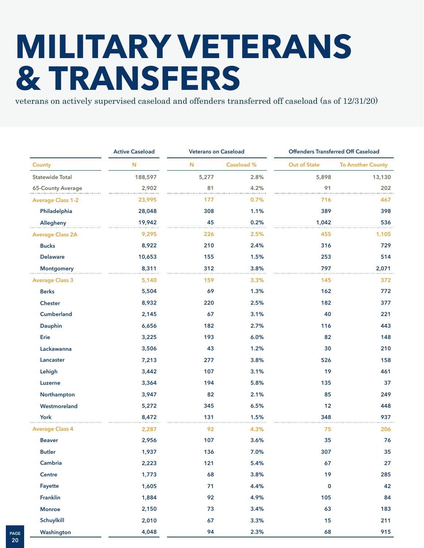### **MILITARY VETERANS & TRANSFERS**

veterans on actively supervised caseload and offenders transferred off caseload (as of 12/31/20)

|                          | <b>Active Caseload</b> | <b>Veterans on Caseload</b> |                   | <b>Offenders Transferred Off Caseload</b> |                          |  |
|--------------------------|------------------------|-----------------------------|-------------------|-------------------------------------------|--------------------------|--|
| <b>County</b>            | N                      | $\mathbf N$                 | <b>Caseload %</b> | <b>Out of State</b>                       | <b>To Another County</b> |  |
| <b>Statewide Total</b>   | 188,597                | 5,277                       | 2.8%              | 5,898                                     | 13,130                   |  |
| 65-County Average        | 2,902                  | 81                          | 4.2%              | 91                                        | 202                      |  |
| <b>Average Class 1-2</b> | 23,995                 | 177                         | 0.7%              | 716                                       | 467                      |  |
| Philadelphia             | 28,048                 | 308                         | 1.1%              | 389                                       | 398                      |  |
| Allegheny                | 19,942                 | 45                          | 0.2%              | 1,042                                     | 536                      |  |
| <b>Average Class 2A</b>  | 9,295                  | 226                         | 2.5%              | 455                                       | 1,105                    |  |
| <b>Bucks</b>             | 8,922                  | 210                         | 2.4%              | 316                                       | 729                      |  |
| <b>Delaware</b>          | 10,653                 | 155                         | 1.5%              | 253                                       | 514                      |  |
| <b>Montgomery</b>        | 8,311                  | 312                         | 3.8%              | 797                                       | 2,071                    |  |
| <b>Average Class 3</b>   | 5,140                  | 159                         | 3.3%              | 145                                       | 372                      |  |
| <b>Berks</b>             | 5,504                  | 69                          | 1.3%              | 162                                       | 772                      |  |
| <b>Chester</b>           | 8,932                  | 220                         | 2.5%              | 182                                       | 377                      |  |
| <b>Cumberland</b>        | 2,145                  | 67                          | 3.1%              | 40                                        | 221                      |  |
| Dauphin                  | 6,656                  | 182                         | 2.7%              | 116                                       | 443                      |  |
| Erie                     | 3,225                  | 193                         | 6.0%              | 82                                        | 148                      |  |
| Lackawanna               | 3,506                  | 43                          | 1.2%              | 30                                        | 210                      |  |
| Lancaster                | 7,213                  | 277                         | 3.8%              | 526                                       | 158                      |  |
| Lehigh                   | 3,442                  | 107                         | 3.1%              | 19                                        | 461                      |  |
| Luzerne                  | 3,364                  | 194                         | 5.8%              | 135                                       | 37                       |  |
| Northampton              | 3,947                  | 82                          | 2.1%              | 85                                        | 249                      |  |
| Westmoreland             | 5,272                  | 345                         | 6.5%              | 12                                        | 448                      |  |
| York                     | 8,472                  | 131                         | 1.5%              | 348                                       | 937                      |  |
| <b>Average Class 4</b>   | 2,287                  | 92                          | 4.3%              | 75                                        | 206                      |  |
| <b>Beaver</b>            | 2,956                  | 107                         | 3.6%              | 35                                        | 76                       |  |
| <b>Butler</b>            | 1,937                  | 136                         | 7.0%              | 307                                       | 35                       |  |
| Cambria                  | 2,223                  | 121                         | 5.4%              | 67                                        | 27                       |  |
| Centre                   | 1,773                  | 68                          | 3.8%              | 19                                        | 285                      |  |
| Fayette                  | 1,605                  | 71                          | 4.4%              | $\pmb{0}$                                 | 42                       |  |
| <b>Franklin</b>          | 1,884                  | 92                          | 4.9%              | 105                                       | 84                       |  |
| <b>Monroe</b>            | 2,150                  | 73                          | 3.4%              | 63                                        | 183                      |  |
| Schuylkill               | 2,010                  | 67                          | 3.3%              | 15                                        | 211                      |  |
| Washington               | 4,048                  | 94                          | 2.3%              | 68                                        | 915                      |  |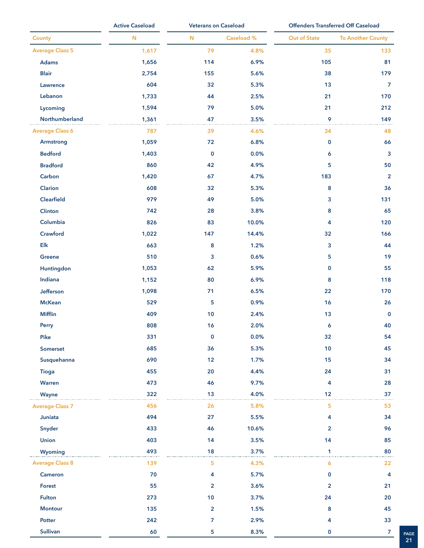|                        | <b>Active Caseload</b> |                | <b>Veterans on Caseload</b> |                         | <b>Offenders Transferred Off Caseload</b> |  |
|------------------------|------------------------|----------------|-----------------------------|-------------------------|-------------------------------------------|--|
| <b>County</b>          | ${\bf N}$              | ${\bf N}$      | Caseload %                  | <b>Out of State</b>     | <b>To Another County</b>                  |  |
| <b>Average Class 5</b> | 1,617                  | 79             | 4.8%                        | 35                      | 133                                       |  |
| Adams                  | 1,656                  | 114            | 6.9%                        | 105                     | 81                                        |  |
| <b>Blair</b>           | 2,754                  | 155            | 5.6%                        | 38                      | 179                                       |  |
| Lawrence               | 604                    | 32             | 5.3%                        | 13                      | 7                                         |  |
| Lebanon                | 1,733                  | 44             | 2.5%                        | 21                      | 170                                       |  |
| Lycoming               | 1,594                  | 79             | 5.0%                        | 21                      | 212                                       |  |
| Northumberland         | 1,361                  | 47             | 3.5%                        | 9                       | 149                                       |  |
| <b>Average Class 6</b> | 787                    | 39             | 4.6%                        | 34                      | 48                                        |  |
| Armstrong              | 1,059                  | 72             | 6.8%                        | $\bf{0}$                | 66                                        |  |
| <b>Bedford</b>         | 1,403                  | $\mathbf 0$    | 0.0%                        | 6                       | 3                                         |  |
| <b>Bradford</b>        | 860                    | 42             | 4.9%                        | 5                       | 50                                        |  |
| Carbon                 | 1,420                  | 67             | 4.7%                        | 183                     | $\overline{2}$                            |  |
| Clarion                | 608                    | 32             | 5.3%                        | 8                       | 36                                        |  |
| Clearfield             | 979                    | 49             | 5.0%                        | 3                       | 131                                       |  |
| Clinton                | 742                    | 28             | 3.8%                        | 8                       | 65                                        |  |
| Columbia               | 826                    | 83             | 10.0%                       | 4                       | 120                                       |  |
| Crawford               | 1,022                  | 147            | 14.4%                       | 32                      | 166                                       |  |
| $\mathsf{Elk}$         | 663                    | 8              | 1.2%                        | 3                       | 44                                        |  |
| Greene                 | 510                    | 3              | 0.6%                        | 5                       | 19                                        |  |
| Huntingdon             | 1,053                  | 62             | 5.9%                        | $\bf{0}$                | 55                                        |  |
| Indiana                | 1,152                  | 80             | 6.9%                        | 8                       | 118                                       |  |
| Jefferson              | 1,098                  | 71             | 6.5%                        | 22                      | 170                                       |  |
| <b>McKean</b>          | 529                    | 5              | 0.9%                        | 16                      | 26                                        |  |
| <b>Mifflin</b>         | 409                    | 10             | 2.4%                        | 13                      | $\mathbf 0$                               |  |
| Perry                  | 808                    | 16             | 2.0%                        | 6                       | 40                                        |  |
| Pike                   | 331                    | $\bf{0}$       | 0.0%                        | 32                      | 54                                        |  |
| Somerset               | 685                    | 36             | 5.3%                        | 10                      | 45                                        |  |
| Susquehanna            | 690                    | 12             | 1.7%                        | 15                      | 34                                        |  |
| <b>Tioga</b>           | 455                    | 20             | 4.4%                        | 24                      | 31                                        |  |
| Warren                 | 473                    | 46             | 9.7%                        | 4                       | 28                                        |  |
| Wayne                  | 322                    | 13             | 4.0%                        | 12                      | 37                                        |  |
| <b>Average Class 7</b> | 456                    | 26             | 5.8%                        | 5                       | 53                                        |  |
| Juniata                | 494                    | 27             | 5.5%                        | 4                       | 34                                        |  |
| Snyder                 | 433                    | 46             | 10.6%                       | $\overline{2}$          | 96                                        |  |
| <b>Union</b>           | 403                    | 14             | 3.5%                        | 14                      | 85                                        |  |
| Wyoming                | 493                    | 18             | 3.7%                        | $\mathbf{1}$            | 80                                        |  |
| <b>Average Class 8</b> | 139                    | 5              | 4.3%                        | 6                       | 22                                        |  |
| Cameron                | 70                     | 4              | 5.7%                        | $\bf{0}$                | 4                                         |  |
| <b>Forest</b>          | 55                     | $\overline{2}$ | 3.6%                        | $\overline{\mathbf{2}}$ | 21                                        |  |
| <b>Fulton</b>          | 273                    | 10             | 3.7%                        | 24                      | 20                                        |  |
| <b>Montour</b>         | 135                    | $\overline{2}$ | 1.5%                        | 8                       | 45                                        |  |
| Potter                 | 242                    | 7              | 2.9%                        | 4                       | 33                                        |  |
| <b>Sullivan</b>        | 60                     | 5              | 8.3%                        | $\mathbf 0$             | $\overline{7}$                            |  |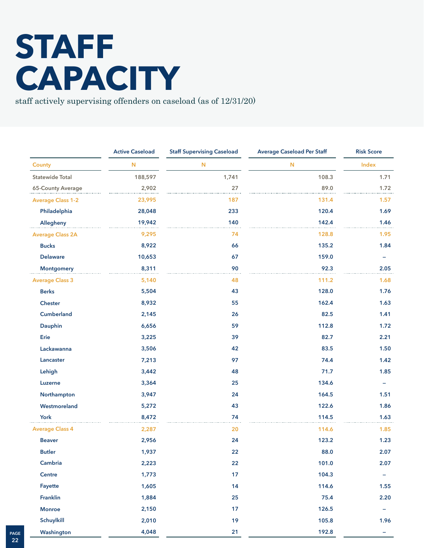## **STAFF CAPACITY**

staff actively supervising offenders on caseload (as of 12/31/20)

|                          | <b>Active Caseload</b> | <b>Staff Supervising Caseload</b> | <b>Average Caseload Per Staff</b> | <b>Risk Score</b> |
|--------------------------|------------------------|-----------------------------------|-----------------------------------|-------------------|
| <b>County</b>            | N                      | N                                 | N                                 | Index             |
| <b>Statewide Total</b>   | 188,597                | 1,741                             | 108.3                             | 1.71              |
| 65-County Average        | 2,902                  | 27                                | 89.0                              | 1.72              |
| <b>Average Class 1-2</b> | 23,995                 | 187                               | 131.4                             | 1.57              |
| Philadelphia             | 28,048                 | 233                               | 120.4                             | 1.69              |
| Allegheny                | 19,942                 | 140                               | 142.4                             | 1.46              |
| <b>Average Class 2A</b>  | 9,295                  | 74                                | 128.8                             | 1.95              |
| <b>Bucks</b>             | 8,922                  | 66                                | 135.2                             | 1.84              |
| <b>Delaware</b>          | 10,653                 | 67                                | 159.0                             |                   |
| <b>Montgomery</b>        | 8,311                  | 90                                | 92.3                              | 2.05              |
| <b>Average Class 3</b>   | 5,140                  | 48                                | 111.2                             | 1.68              |
| <b>Berks</b>             | 5,504                  | 43                                | 128.0                             | 1.76              |
| Chester                  | 8,932                  | 55                                | 162.4                             | 1.63              |
| Cumberland               | 2,145                  | 26                                | 82.5                              | 1.41              |
| Dauphin                  | 6,656                  | 59                                | 112.8                             | 1.72              |
| Erie                     | 3,225                  | 39                                | 82.7                              | 2.21              |
| Lackawanna               | 3,506                  | 42                                | 83.5                              | 1.50              |
| Lancaster                | 7,213                  | 97                                | 74.4                              | 1.42              |
| Lehigh                   | 3,442                  | 48                                | 71.7                              | 1.85              |
| Luzerne                  | 3,364                  | 25                                | 134.6                             |                   |
| Northampton              | 3,947                  | 24                                | 164.5                             | 1.51              |
| Westmoreland             | 5,272                  | 43                                | 122.6                             | 1.86              |
| York                     | 8,472                  | 74                                | 114.5                             | 1.63              |
| <b>Average Class 4</b>   | 2,287                  | 20                                | 114.6                             | 1.85              |
| <b>Beaver</b>            | 2,956                  | 24                                | 123.2                             | 1.23              |
| <b>Butler</b>            | 1,937                  | 22                                | 88.0                              | 2.07              |
| Cambria                  | 2,223                  | 22                                | 101.0                             | 2.07              |
| Centre                   | 1,773                  | 17                                | 104.3                             | -                 |
| Fayette                  | 1,605                  | 14                                | 114.6                             | $1.55$            |
| Franklin                 | 1,884                  | 25                                | 75.4                              | 2.20              |
| <b>Monroe</b>            | 2,150                  | 17                                | 126.5                             |                   |
| Schuylkill               | 2,010                  | 19                                | 105.8                             | 1.96              |
| Washington               | 4,048                  | 21                                | 192.8                             | -                 |